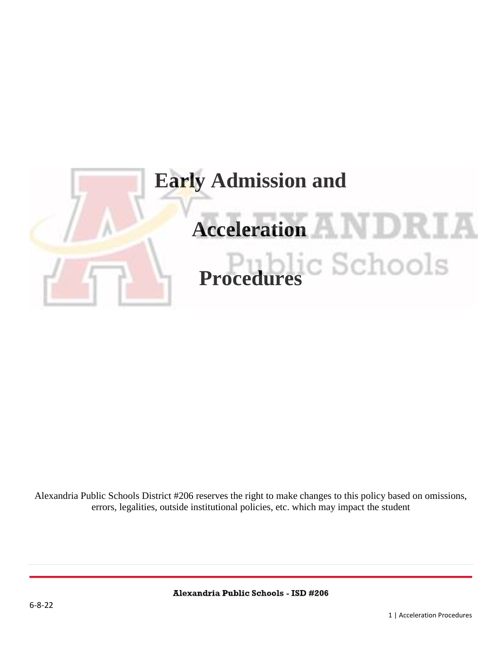

Alexandria Public Schools District #206 reserves the right to make changes to this policy based on omissions, errors, legalities, outside institutional policies, etc. which may impact the student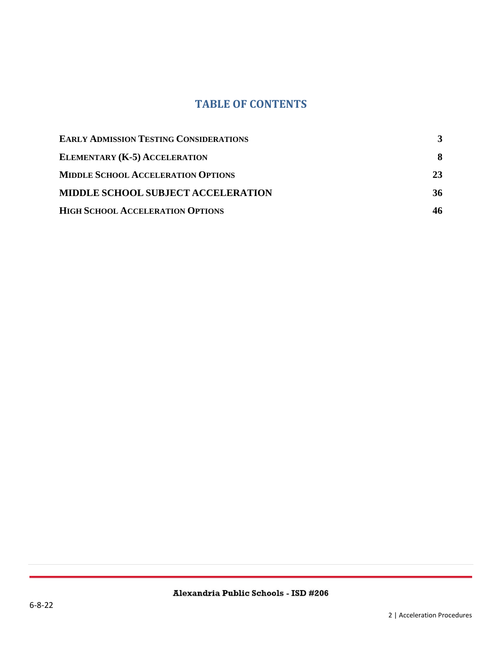#### **TABLE OF CONTENTS**

| <b>EARLY ADMISSION TESTING CONSIDERATIONS</b> |    |
|-----------------------------------------------|----|
| <b>ELEMENTARY (K-5) ACCELERATION</b>          | 8  |
| <b>MIDDLE SCHOOL ACCELERATION OPTIONS</b>     | 23 |
| <b>MIDDLE SCHOOL SUBJECT ACCELERATION</b>     | 36 |
| <b>HIGH SCHOOL ACCELERATION OPTIONS</b>       |    |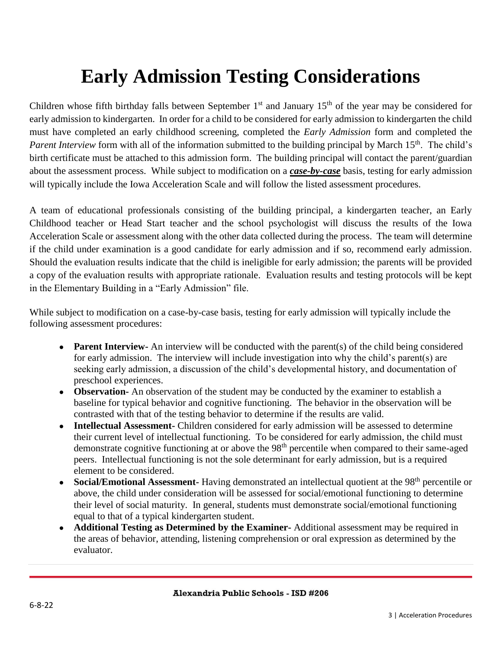## **Early Admission Testing Considerations**

<span id="page-2-0"></span>Children whose fifth birthday falls between September  $1<sup>st</sup>$  and January  $15<sup>th</sup>$  of the year may be considered for early admission to kindergarten. In order for a child to be considered for early admission to kindergarten the child must have completed an early childhood screening, completed the *Early Admission* form and completed the *Parent Interview* form with all of the information submitted to the building principal by March 15<sup>th</sup>. The child's birth certificate must be attached to this admission form. The building principal will contact the parent/guardian about the assessment process. While subject to modification on a *case-by-case* basis, testing for early admission will typically include the Iowa Acceleration Scale and will follow the listed assessment procedures.

A team of educational professionals consisting of the building principal, a kindergarten teacher, an Early Childhood teacher or Head Start teacher and the school psychologist will discuss the results of the Iowa Acceleration Scale or assessment along with the other data collected during the process. The team will determine if the child under examination is a good candidate for early admission and if so, recommend early admission. Should the evaluation results indicate that the child is ineligible for early admission; the parents will be provided a copy of the evaluation results with appropriate rationale. Evaluation results and testing protocols will be kept in the Elementary Building in a "Early Admission" file.

While subject to modification on a case-by-case basis, testing for early admission will typically include the following assessment procedures:

- **Parent Interview-** An interview will be conducted with the parent(s) of the child being considered for early admission. The interview will include investigation into why the child's parent(s) are seeking early admission, a discussion of the child's developmental history, and documentation of preschool experiences.
- **Observation-** An observation of the student may be conducted by the examiner to establish a baseline for typical behavior and cognitive functioning. The behavior in the observation will be contrasted with that of the testing behavior to determine if the results are valid.
- **Intellectual Assessment-** Children considered for early admission will be assessed to determine their current level of intellectual functioning. To be considered for early admission, the child must demonstrate cognitive functioning at or above the 98<sup>th</sup> percentile when compared to their same-aged peers. Intellectual functioning is not the sole determinant for early admission, but is a required element to be considered.
- **Social/Emotional Assessment-** Having demonstrated an intellectual quotient at the 98<sup>th</sup> percentile or above, the child under consideration will be assessed for social/emotional functioning to determine their level of social maturity. In general, students must demonstrate social/emotional functioning equal to that of a typical kindergarten student.
- Additional Testing as Determined by the Examiner-Additional assessment may be required in the areas of behavior, attending, listening comprehension or oral expression as determined by the evaluator.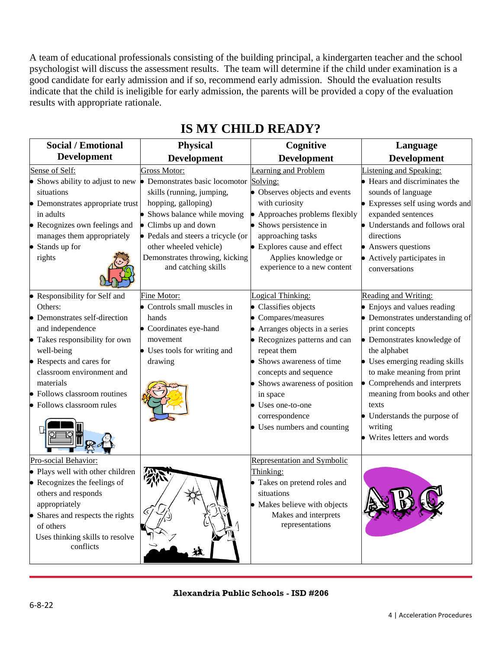A team of educational professionals consisting of the building principal, a kindergarten teacher and the school psychologist will discuss the assessment results. The team will determine if the child under examination is a good candidate for early admission and if so, recommend early admission. Should the evaluation results indicate that the child is ineligible for early admission, the parents will be provided a copy of the evaluation results with appropriate rationale.

| <b>Social / Emotional</b>                                                                                                                                                                                                                                              | <b>Physical</b>                                                                                                                                                                                                                                                                                 | Cognitive                                                                                                                                                                                                                                                                                                   | Language                                                                                                                                                                                                                                                                                                                                                                          |
|------------------------------------------------------------------------------------------------------------------------------------------------------------------------------------------------------------------------------------------------------------------------|-------------------------------------------------------------------------------------------------------------------------------------------------------------------------------------------------------------------------------------------------------------------------------------------------|-------------------------------------------------------------------------------------------------------------------------------------------------------------------------------------------------------------------------------------------------------------------------------------------------------------|-----------------------------------------------------------------------------------------------------------------------------------------------------------------------------------------------------------------------------------------------------------------------------------------------------------------------------------------------------------------------------------|
| <b>Development</b>                                                                                                                                                                                                                                                     | <b>Development</b>                                                                                                                                                                                                                                                                              | <b>Development</b>                                                                                                                                                                                                                                                                                          | <b>Development</b>                                                                                                                                                                                                                                                                                                                                                                |
| Sense of Self:<br>Shows ability to adjust to new<br>situations<br>Demonstrates appropriate trust<br>in adults<br>• Recognizes own feelings and<br>manages them appropriately<br>Stands up for<br>rights                                                                | <b>Gross Motor:</b><br>• Demonstrates basic locomotor Solving:<br>skills (running, jumping,<br>hopping, galloping)<br>Shows balance while moving<br>Climbs up and down<br>• Pedals and steers a tricycle (or<br>other wheeled vehicle)<br>Demonstrates throwing, kicking<br>and catching skills | Learning and Problem<br>• Observes objects and events<br>with curiosity<br>Approaches problems flexibly<br>Shows persistence in<br>approaching tasks<br>Explores cause and effect<br>Applies knowledge or<br>experience to a new content                                                                    | Listening and Speaking:<br>• Hears and discriminates the<br>sounds of language<br>• Expresses self using words and<br>expanded sentences<br>• Understands and follows oral<br>directions<br>• Answers questions<br>• Actively participates in<br>conversations                                                                                                                    |
| Responsibility for Self and<br>Others:<br>Demonstrates self-direction<br>and independence<br>Takes responsibility for own<br>well-being<br>• Respects and cares for<br>classroom environment and<br>materials<br>Follows classroom routines<br>Follows classroom rules | Fine Motor:<br>• Controls small muscles in<br>hands<br>• Coordinates eye-hand<br>movement<br>• Uses tools for writing and<br>drawing                                                                                                                                                            | Logical Thinking:<br>Classifies objects<br>Compares/measures<br>Arranges objects in a series<br>Recognizes patterns and can<br>repeat them<br>Shows awareness of time<br>concepts and sequence<br>Shows awareness of position<br>in space<br>Uses one-to-one<br>correspondence<br>Uses numbers and counting | Reading and Writing:<br>• Enjoys and values reading<br>• Demonstrates understanding of<br>print concepts<br>• Demonstrates knowledge of<br>the alphabet<br>• Uses emerging reading skills<br>to make meaning from print<br>$\bullet$ Comprehends and interprets<br>meaning from books and other<br>texts<br>• Understands the purpose of<br>writing<br>• Writes letters and words |
| Pro-social Behavior:<br>• Plays well with other children<br>• Recognizes the feelings of<br>others and responds<br>appropriately<br>• Shares and respects the rights<br>of others<br>Uses thinking skills to resolve<br>conflicts                                      |                                                                                                                                                                                                                                                                                                 | Representation and Symbolic<br>Thinking:<br>Takes on pretend roles and<br>situations<br>Makes believe with objects<br>Makes and interprets<br>representations                                                                                                                                               |                                                                                                                                                                                                                                                                                                                                                                                   |

### **IS MY CHILD READY?**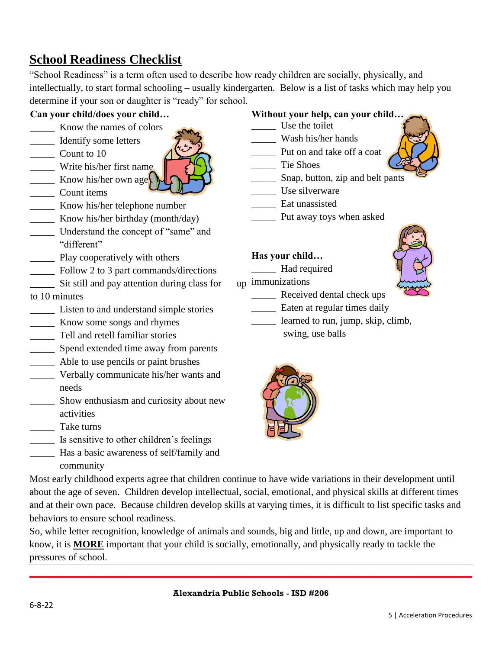### **School Readiness Checklist**

"School Readiness" is a term often used to describe how ready children are socially, physically, and intellectually, to start formal schooling – usually kindergarten. Below is a list of tasks which may help you determine if your son or daughter is "ready" for school.

#### **Can your child/does your child…**

- \_\_\_\_\_ Know the names of colors
- \_\_\_\_\_ Identify some letters
- \_\_\_\_\_ Count to 10
- \_\_\_\_\_ Write his/her first name  $\frac{1}{\sqrt{2}}$  Know his/her own age
- \_\_\_\_\_ Count items
- **EXECUTE:** Know his/her telephone number
- \_\_\_\_\_ Know his/her birthday (month/day)
- \_\_\_\_\_ Understand the concept of "same" and "different"
- **EXECUTE:** Play cooperatively with others
- \_\_\_\_\_ Follow 2 to 3 part commands/directions
- Sit still and pay attention during class for

#### to 10 minutes

- \_\_\_\_\_ Listen to and understand simple stories
- \_\_\_\_\_ Know some songs and rhymes
- \_\_\_\_\_ Tell and retell familiar stories
- \_\_\_\_\_ Spend extended time away from parents
- \_\_\_\_\_ Able to use pencils or paint brushes
- \_\_\_\_\_ Verbally communicate his/her wants and needs
- \_\_\_\_\_ Show enthusiasm and curiosity about new activities
- \_\_\_\_\_ Take turns
- Is sensitive to other children's feelings
- \_\_\_\_\_ Has a basic awareness of self/family and community

#### **Without your help, can your child…**

- \_\_\_\_\_ Use the toilet
- \_\_\_\_\_ Wash his/her hands
- \_\_\_\_\_ Put on and take off a coat
- \_\_\_\_\_ Tie Shoes
- \_\_\_\_\_ Snap, button, zip and belt pants
- \_\_\_\_\_ Use silverware
- \_\_\_\_\_ Eat unassisted
- \_\_\_\_\_ Put away toys when asked

#### **Has your child…**

- \_\_\_\_\_ Had required
- <sub>110</sub> immunizations
	- Received dental check ups
		- Eaten at regular times daily
			- learned to run, jump, skip, climb,
				- swing, use balls



Most early childhood experts agree that children continue to have wide variations in their development until about the age of seven. Children develop intellectual, social, emotional, and physical skills at different times and at their own pace. Because children develop skills at varying times, it is difficult to list specific tasks and behaviors to ensure school readiness.

So, while letter recognition, knowledge of animals and sounds, big and little, up and down, are important to know, it is **MORE** important that your child is socially, emotionally, and physically ready to tackle the pressures of school.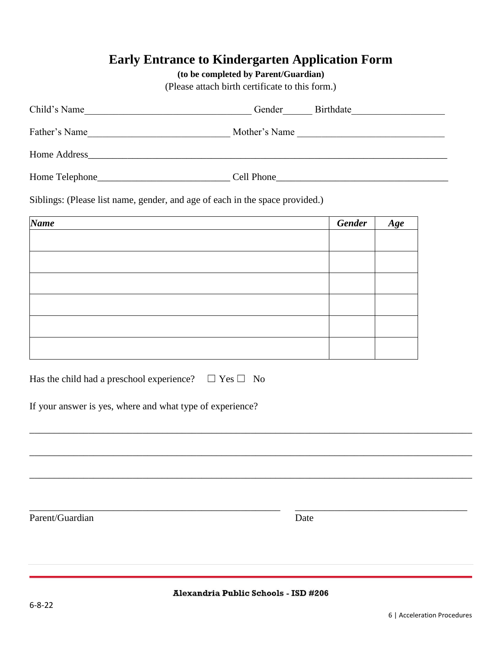### **Early Entrance to Kindergarten Application Form**

#### **(to be completed by Parent/Guardian)**

(Please attach birth certificate to this form.)

| Child's Name    | Birthdate<br>Gender |
|-----------------|---------------------|
| Father's Name   | Mother's Name       |
| Home Address    |                     |
| Home Telephone_ | Cell Phone          |

Siblings: (Please list name, gender, and age of each in the space provided.)

| Name | <b>Gender</b> | Age |
|------|---------------|-----|
|      |               |     |
|      |               |     |
|      |               |     |
|      |               |     |
|      |               |     |
|      |               |     |
|      |               |     |

|  |  | Has the child had a preschool experience? $\Box$ Yes $\Box$ No |  |
|--|--|----------------------------------------------------------------|--|
|  |  |                                                                |  |

If your answer is yes, where and what type of experience?

Parent/Guardian Date

Alexandria Public Schools - ISD #206

\_\_\_\_\_\_\_\_\_\_\_\_\_\_\_\_\_\_\_\_\_\_\_\_\_\_\_\_\_\_\_\_\_\_\_\_\_\_\_\_\_\_\_\_\_\_\_\_\_\_\_\_\_\_\_\_\_\_\_\_\_\_\_\_\_\_\_\_\_\_\_\_\_\_\_\_\_\_\_\_\_\_\_\_\_\_\_\_\_\_

\_\_\_\_\_\_\_\_\_\_\_\_\_\_\_\_\_\_\_\_\_\_\_\_\_\_\_\_\_\_\_\_\_\_\_\_\_\_\_\_\_\_\_\_\_\_\_\_\_\_\_\_\_\_\_\_\_\_\_\_\_\_\_\_\_\_\_\_\_\_\_\_\_\_\_\_\_\_\_\_\_\_\_\_\_\_\_\_\_\_

\_\_\_\_\_\_\_\_\_\_\_\_\_\_\_\_\_\_\_\_\_\_\_\_\_\_\_\_\_\_\_\_\_\_\_\_\_\_\_\_\_\_\_\_\_\_\_\_\_\_\_\_\_\_\_\_\_\_\_\_\_\_\_\_\_\_\_\_\_\_\_\_\_\_\_\_\_\_\_\_\_\_\_\_\_\_\_\_\_\_

\_\_\_\_\_\_\_\_\_\_\_\_\_\_\_\_\_\_\_\_\_\_\_\_\_\_\_\_\_\_\_\_\_\_\_\_\_\_\_\_\_\_\_\_\_\_\_\_\_\_\_ \_\_\_\_\_\_\_\_\_\_\_\_\_\_\_\_\_\_\_\_\_\_\_\_\_\_\_\_\_\_\_\_\_\_\_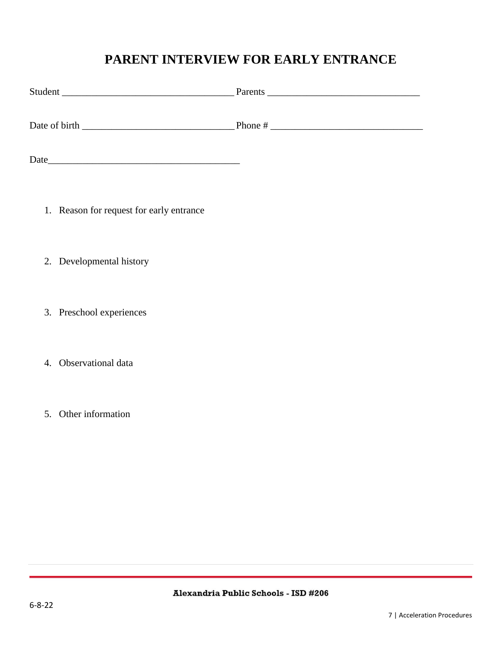### **PARENT INTERVIEW FOR EARLY ENTRANCE**

| Student       | Parents |
|---------------|---------|
| Date of birth | Phone # |

| Date |  |  |  |  |
|------|--|--|--|--|
|      |  |  |  |  |

- 1. Reason for request for early entrance
- 2. Developmental history
- 3. Preschool experiences
- 4. Observational data
- 5. Other information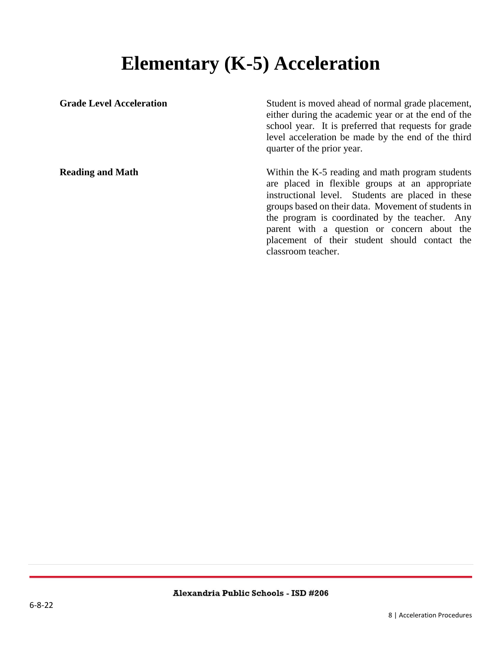## **Elementary (K-5) Acceleration**

<span id="page-7-0"></span>Grade Level Acceleration Student is moved ahead of normal grade placement, either during the academic year or at the end of the school year. It is preferred that requests for grade level acceleration be made by the end of the third quarter of the prior year. **Reading and Math** Within the K-5 reading and math program students are placed in flexible groups at an appropriate instructional level. Students are placed in these groups based on their data. Movement of students in the program is coordinated by the teacher. Any parent with a question or concern about the placement of their student should contact the classroom teacher.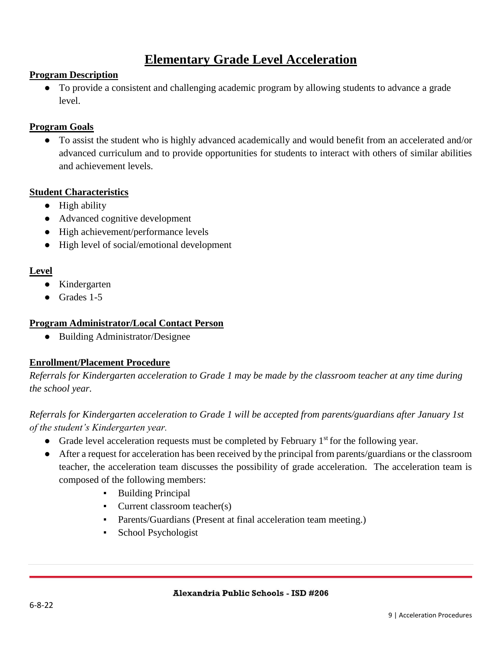### **Elementary Grade Level Acceleration**

#### **Program Description**

● To provide a consistent and challenging academic program by allowing students to advance a grade level.

#### **Program Goals**

● To assist the student who is highly advanced academically and would benefit from an accelerated and/or advanced curriculum and to provide opportunities for students to interact with others of similar abilities and achievement levels.

#### **Student Characteristics**

- High ability
- Advanced cognitive development
- High achievement/performance levels
- High level of social/emotional development

#### **Level**

- Kindergarten
- Grades 1-5

#### **Program Administrator/Local Contact Person**

● Building Administrator/Designee

#### **Enrollment/Placement Procedure**

*Referrals for Kindergarten acceleration to Grade 1 may be made by the classroom teacher at any time during the school year.*

#### *Referrals for Kindergarten acceleration to Grade 1 will be accepted from parents/guardians after January 1st of the student's Kindergarten year.*

- Grade level acceleration requests must be completed by February  $1<sup>st</sup>$  for the following year.
- After a request for acceleration has been received by the principal from parents/guardians or the classroom teacher, the acceleration team discusses the possibility of grade acceleration. The acceleration team is composed of the following members:
	- Building Principal
	- Current classroom teacher(s)
	- Parents/Guardians (Present at final acceleration team meeting.)
	- School Psychologist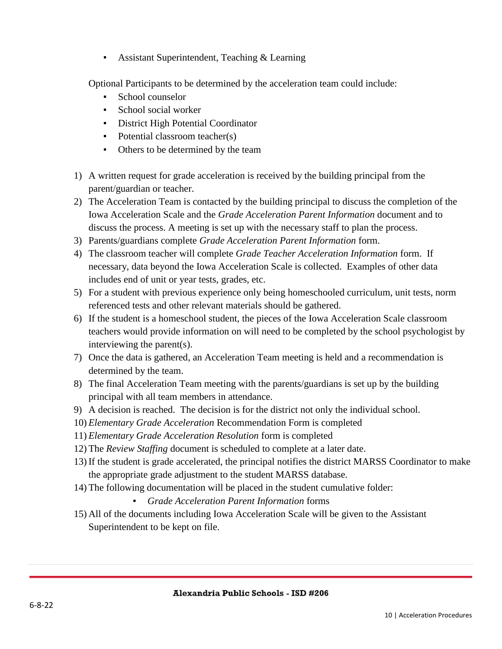**• Assistant Superintendent, Teaching & Learning** 

Optional Participants to be determined by the acceleration team could include:

- School counselor
- School social worker
- **•** District High Potential Coordinator
- Potential classroom teacher(s)
- Others to be determined by the team
- 1) A written request for grade acceleration is received by the building principal from the parent/guardian or teacher.
- 2) The Acceleration Team is contacted by the building principal to discuss the completion of the Iowa Acceleration Scale and the *Grade Acceleration Parent Information* document and to discuss the process. A meeting is set up with the necessary staff to plan the process.
- 3) Parents/guardians complete *Grade Acceleration Parent Information* form.
- 4) The classroom teacher will complete *Grade Teacher Acceleration Information* form. If necessary, data beyond the Iowa Acceleration Scale is collected. Examples of other data includes end of unit or year tests, grades, etc.
- 5) For a student with previous experience only being homeschooled curriculum, unit tests, norm referenced tests and other relevant materials should be gathered.
- 6) If the student is a homeschool student, the pieces of the Iowa Acceleration Scale classroom teachers would provide information on will need to be completed by the school psychologist by interviewing the parent(s).
- 7) Once the data is gathered, an Acceleration Team meeting is held and a recommendation is determined by the team.
- 8) The final Acceleration Team meeting with the parents/guardians is set up by the building principal with all team members in attendance.
- 9) A decision is reached. The decision is for the district not only the individual school.
- 10) *Elementary Grade Acceleration* Recommendation Form is completed
- 11) *Elementary Grade Acceleration Resolution* form is completed
- 12) The *Review Staffing* document is scheduled to complete at a later date.
- 13) If the student is grade accelerated, the principal notifies the district MARSS Coordinator to make the appropriate grade adjustment to the student MARSS database.
- 14) The following documentation will be placed in the student cumulative folder:
	- *Grade Acceleration Parent Information* forms
- 15) All of the documents including Iowa Acceleration Scale will be given to the Assistant Superintendent to be kept on file.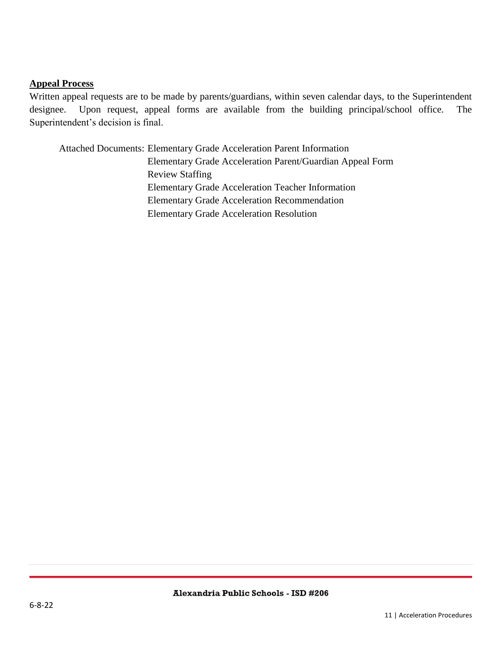#### **Appeal Process**

Written appeal requests are to be made by parents/guardians, within seven calendar days, to the Superintendent designee. Upon request, appeal forms are available from the building principal/school office. The Superintendent's decision is final.

Attached Documents: Elementary Grade Acceleration Parent Information Elementary Grade Acceleration Parent/Guardian Appeal Form Review Staffing Elementary Grade Acceleration Teacher Information Elementary Grade Acceleration Recommendation Elementary Grade Acceleration Resolution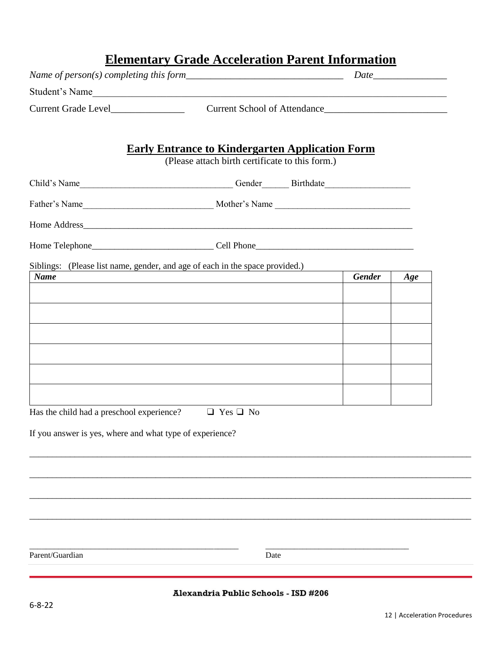|                                                                              |                                                                                                           | <b>Elementary Grade Acceleration Parent Information</b> |     |
|------------------------------------------------------------------------------|-----------------------------------------------------------------------------------------------------------|---------------------------------------------------------|-----|
|                                                                              |                                                                                                           |                                                         |     |
| Student's Name<br>Current Grade Level Current School of Attendance           |                                                                                                           |                                                         |     |
|                                                                              |                                                                                                           |                                                         |     |
|                                                                              |                                                                                                           |                                                         |     |
|                                                                              | <b>Early Entrance to Kindergarten Application Form</b><br>(Please attach birth certificate to this form.) |                                                         |     |
|                                                                              |                                                                                                           |                                                         |     |
|                                                                              |                                                                                                           |                                                         |     |
|                                                                              |                                                                                                           |                                                         |     |
|                                                                              |                                                                                                           |                                                         |     |
|                                                                              |                                                                                                           |                                                         |     |
| Siblings: (Please list name, gender, and age of each in the space provided.) |                                                                                                           |                                                         |     |
| <b>Name</b>                                                                  |                                                                                                           | <b>Gender</b>                                           | Age |
|                                                                              |                                                                                                           |                                                         |     |
|                                                                              |                                                                                                           |                                                         |     |
|                                                                              |                                                                                                           |                                                         |     |
|                                                                              |                                                                                                           |                                                         |     |
|                                                                              |                                                                                                           |                                                         |     |
|                                                                              |                                                                                                           |                                                         |     |
|                                                                              |                                                                                                           |                                                         |     |
| Has the child had a preschool experience?                                    | $\Box$ Yes $\Box$ No                                                                                      |                                                         |     |
| If you answer is yes, where and what type of experience?                     |                                                                                                           |                                                         |     |
|                                                                              |                                                                                                           |                                                         |     |
|                                                                              |                                                                                                           |                                                         |     |
|                                                                              |                                                                                                           |                                                         |     |
|                                                                              |                                                                                                           |                                                         |     |
|                                                                              |                                                                                                           |                                                         |     |
|                                                                              |                                                                                                           |                                                         |     |
|                                                                              |                                                                                                           |                                                         |     |
|                                                                              |                                                                                                           |                                                         |     |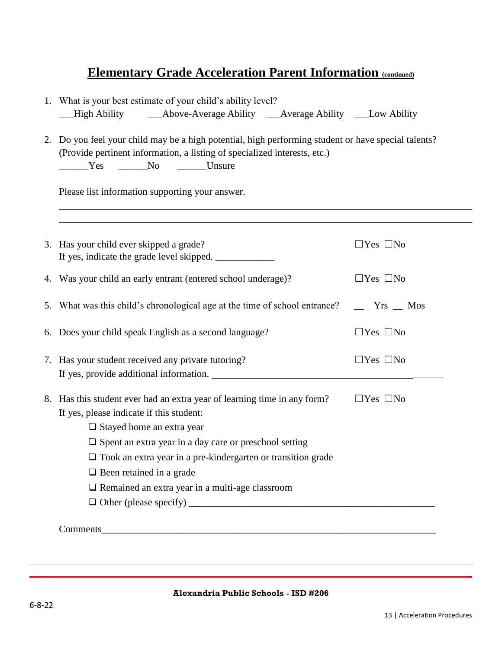### **Elementary Grade Acceleration Parent Information (continued)**

| 1. What is your best estimate of your child's ability level?<br>High Ability<br>____Above-Average Ability _____Average Ability ______Low Ability                                                                                                                                                                                                                                             |                           |
|----------------------------------------------------------------------------------------------------------------------------------------------------------------------------------------------------------------------------------------------------------------------------------------------------------------------------------------------------------------------------------------------|---------------------------|
| 2. Do you feel your child may be a high potential, high performing student or have special talents?<br>(Provide pertinent information, a listing of specialized interests, etc.)<br>Ves No Unsure                                                                                                                                                                                            |                           |
| Please list information supporting your answer.                                                                                                                                                                                                                                                                                                                                              |                           |
| 3. Has your child ever skipped a grade?<br>If yes, indicate the grade level skipped. ___________                                                                                                                                                                                                                                                                                             | $\Box$ Yes $\Box$ No      |
| 4. Was your child an early entrant (entered school underage)?                                                                                                                                                                                                                                                                                                                                | $\Box$ Yes $\Box$ No      |
| 5. What was this child's chronological age at the time of school entrance?                                                                                                                                                                                                                                                                                                                   | $\equiv$ Yrs $\equiv$ Mos |
| 6. Does your child speak English as a second language?                                                                                                                                                                                                                                                                                                                                       | $\Box$ Yes $\Box$ No      |
| 7. Has your student received any private tutoring?                                                                                                                                                                                                                                                                                                                                           | $\Box$ Yes $\Box$ No      |
| 8. Has this student ever had an extra year of learning time in any form?<br>If yes, please indicate if this student:<br>$\Box$ Stayed home an extra year<br>$\square$ Spent an extra year in a day care or preschool setting<br>$\square$ Took an extra year in a pre-kindergarten or transition grade<br>$\Box$ Been retained in a grade<br>Remained an extra year in a multi-age classroom | $\Box$ Yes $\Box$ No      |
| Comments                                                                                                                                                                                                                                                                                                                                                                                     |                           |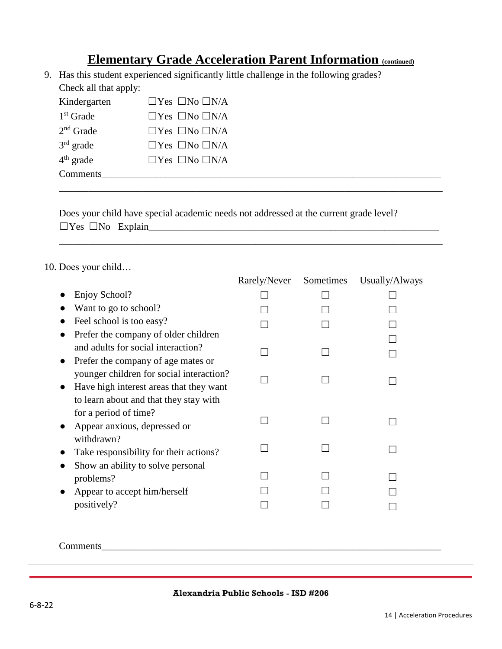### **Elementary Grade Acceleration Parent Information (continued)**

\_\_\_\_\_\_\_\_\_\_\_\_\_\_\_\_\_\_\_\_\_\_\_\_\_\_\_\_\_\_\_\_\_\_\_\_\_\_\_\_\_\_\_\_\_\_\_\_\_\_\_\_\_\_\_\_\_\_\_\_\_\_\_\_\_\_\_\_\_\_\_\_\_\_\_\_\_\_

\_\_\_\_\_\_\_\_\_\_\_\_\_\_\_\_\_\_\_\_\_\_\_\_\_\_\_\_\_\_\_\_\_\_\_\_\_\_\_\_\_\_\_\_\_\_\_\_\_\_\_\_\_\_\_\_\_\_\_\_\_\_\_\_\_\_\_\_\_\_\_\_\_\_\_\_\_\_

9. Has this student experienced significantly little challenge in the following grades? Check all that apply:

| Kindergarten | $\Box$ Yes $\Box$ No $\Box$ N/A |  |
|--------------|---------------------------------|--|
| $1st$ Grade  | $\Box$ Yes $\Box$ No $\Box$ N/A |  |
| $2nd$ Grade  | $\Box$ Yes $\Box$ No $\Box$ N/A |  |
| $3rd$ grade  | $\Box$ Yes $\Box$ No $\Box$ N/A |  |
| $4th$ grade  | $\Box$ Yes $\Box$ No $\Box$ N/A |  |
| Comments     |                                 |  |

Does your child have special academic needs not addressed at the current grade level? ☐Yes ☐No Explain\_\_\_\_\_\_\_\_\_\_\_\_\_\_\_\_\_\_\_\_\_\_\_\_\_\_\_\_\_\_\_\_\_\_\_\_\_\_\_\_\_\_\_\_\_\_\_\_\_\_\_\_\_\_\_\_\_\_\_

#### 10. Does your child…

|                                          | Rarely/Never | Sometimes | Usually/Always |
|------------------------------------------|--------------|-----------|----------------|
| Enjoy School?                            |              |           |                |
| Want to go to school?                    |              |           |                |
| Feel school is too easy?                 |              |           |                |
| Prefer the company of older children     |              |           |                |
| and adults for social interaction?       |              |           |                |
| Prefer the company of age mates or       |              |           |                |
| younger children for social interaction? |              |           |                |
| Have high interest areas that they want  |              |           |                |
| to learn about and that they stay with   |              |           |                |
| for a period of time?                    |              |           |                |
| Appear anxious, depressed or             |              |           |                |
| withdrawn?                               |              |           |                |
| Take responsibility for their actions?   |              |           |                |
| Show an ability to solve personal        |              |           |                |
| problems?                                |              |           |                |
| Appear to accept him/herself             |              |           |                |
| positively?                              |              |           |                |

Comments\_\_\_\_\_\_\_\_\_\_\_\_\_\_\_\_\_\_\_\_\_\_\_\_\_\_\_\_\_\_\_\_\_\_\_\_\_\_\_\_\_\_\_\_\_\_\_\_\_\_\_\_\_\_\_\_\_\_\_\_\_\_\_\_\_\_\_\_\_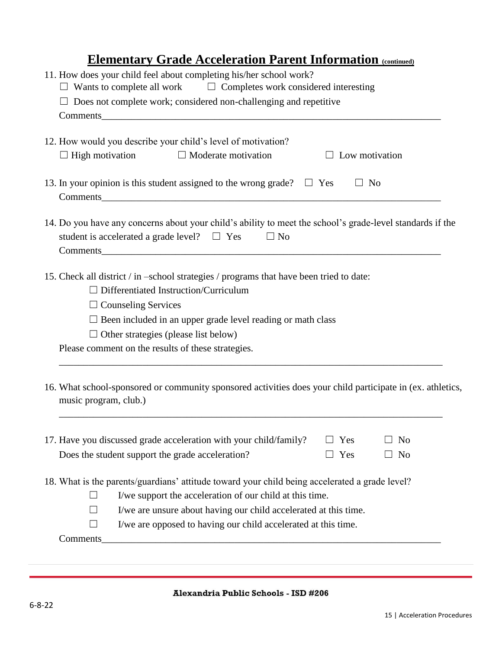### **<u>Elementary Grade Acceleration Parent Information (continued)</u>**

| 11. How does your child feel about completing his/her school work?<br>$\Box$ Wants to complete all work<br>$\Box$ Completes work considered interesting                    |
|----------------------------------------------------------------------------------------------------------------------------------------------------------------------------|
| $\Box$ Does not complete work; considered non-challenging and repetitive                                                                                                   |
|                                                                                                                                                                            |
|                                                                                                                                                                            |
| 12. How would you describe your child's level of motivation?                                                                                                               |
| $\Box$ High motivation<br>$\Box$ Moderate motivation<br>$\Box$ Low motivation                                                                                              |
| $\Box$ No<br>13. In your opinion is this student assigned to the wrong grade? $\Box$ Yes                                                                                   |
|                                                                                                                                                                            |
| 14. Do you have any concerns about your child's ability to meet the school's grade-level standards if the<br>student is accelerated a grade level? $\Box$ Yes<br>$\Box$ No |
| 15. Check all district / in -school strategies / programs that have been tried to date:                                                                                    |
| $\Box$ Differentiated Instruction/Curriculum                                                                                                                               |
| $\Box$ Counseling Services                                                                                                                                                 |
| $\square$ Been included in an upper grade level reading or math class                                                                                                      |
| $\Box$ Other strategies (please list below)                                                                                                                                |
| Please comment on the results of these strategies.                                                                                                                         |
| 16. What school-sponsored or community sponsored activities does your child participate in (ex. athletics,<br>music program, club.)                                        |
| 17. Have you discussed grade acceleration with your child/family?<br>Yes<br>N <sub>o</sub>                                                                                 |
| Does the student support the grade acceleration?<br>Yes<br>N <sub>o</sub>                                                                                                  |
| 18. What is the parents/guardians' attitude toward your child being accelerated a grade level?                                                                             |
| I/we support the acceleration of our child at this time.<br>$\Box$                                                                                                         |
| I/we are unsure about having our child accelerated at this time.<br>$\Box$                                                                                                 |
| I/we are opposed to having our child accelerated at this time.<br>$\Box$                                                                                                   |
| Comments_                                                                                                                                                                  |
|                                                                                                                                                                            |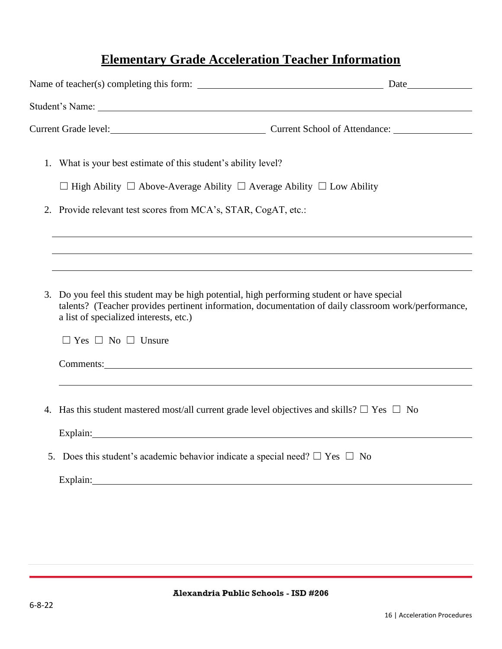### **Elementary Grade Acceleration Teacher Information**

| Current Grade level: Current School of Attendance: Current School of Attendance:                                                                                                                                                             |  |
|----------------------------------------------------------------------------------------------------------------------------------------------------------------------------------------------------------------------------------------------|--|
| 1. What is your best estimate of this student's ability level?                                                                                                                                                                               |  |
| $\Box$ High Ability $\Box$ Above-Average Ability $\Box$ Average Ability $\Box$ Low Ability                                                                                                                                                   |  |
| 2. Provide relevant test scores from MCA's, STAR, CogAT, etc.:                                                                                                                                                                               |  |
|                                                                                                                                                                                                                                              |  |
| 3. Do you feel this student may be high potential, high performing student or have special<br>talents? (Teacher provides pertinent information, documentation of daily classroom work/performance,<br>a list of specialized interests, etc.) |  |
| $\Box$ Yes $\Box$ No $\Box$ Unsure<br>Comments: <u>Comments:</u>                                                                                                                                                                             |  |
|                                                                                                                                                                                                                                              |  |
| 4. Has this student mastered most/all current grade level objectives and skills? $\Box$ Yes $\Box$ No                                                                                                                                        |  |
| Explain:                                                                                                                                                                                                                                     |  |
| 5. Does this student's academic behavior indicate a special need? $\Box$ Yes $\Box$ No                                                                                                                                                       |  |
| Explain: 2008 and 2008 and 2008 and 2008 and 2008 and 2008 and 2008 and 2008 and 2008 and 2008 and 2008 and 20                                                                                                                               |  |
|                                                                                                                                                                                                                                              |  |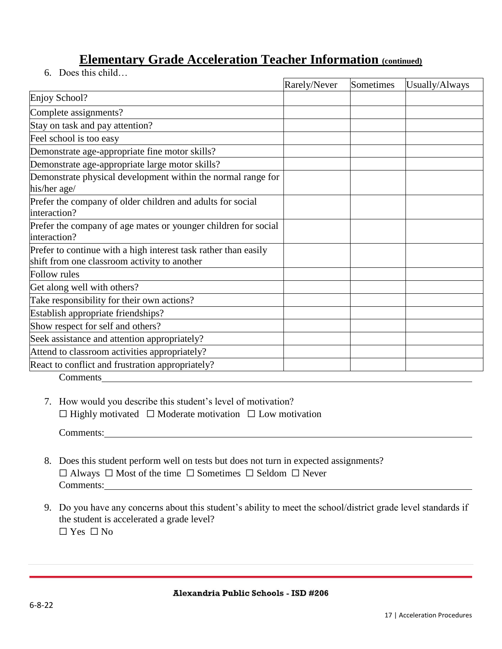### **<u>Elementary Grade Acceleration Teacher Information (continued)</u>**

6. Does this child…

|                                                                                                                 | Rarely/Never | Sometimes | Usually/Always |
|-----------------------------------------------------------------------------------------------------------------|--------------|-----------|----------------|
| Enjoy School?                                                                                                   |              |           |                |
| Complete assignments?                                                                                           |              |           |                |
| Stay on task and pay attention?                                                                                 |              |           |                |
| Feel school is too easy                                                                                         |              |           |                |
| Demonstrate age-appropriate fine motor skills?                                                                  |              |           |                |
| Demonstrate age-appropriate large motor skills?                                                                 |              |           |                |
| Demonstrate physical development within the normal range for<br>his/her age/                                    |              |           |                |
| Prefer the company of older children and adults for social<br>interaction?                                      |              |           |                |
| Prefer the company of age mates or younger children for social<br>interaction?                                  |              |           |                |
| Prefer to continue with a high interest task rather than easily<br>shift from one classroom activity to another |              |           |                |
| <b>Follow</b> rules                                                                                             |              |           |                |
| Get along well with others?                                                                                     |              |           |                |
| Take responsibility for their own actions?                                                                      |              |           |                |
| Establish appropriate friendships?                                                                              |              |           |                |
| Show respect for self and others?                                                                               |              |           |                |
| Seek assistance and attention appropriately?                                                                    |              |           |                |
| Attend to classroom activities appropriately?                                                                   |              |           |                |
| React to conflict and frustration appropriately?                                                                |              |           |                |
| Comments                                                                                                        |              |           |                |

7. How would you describe this student's level of motivation? ☐ Highly motivated ☐ Moderate motivation ☐ Low motivation

Comments:

- 8. Does this student perform well on tests but does not turn in expected assignments? ☐ Always ☐ Most of the time ☐ Sometimes ☐ Seldom ☐ Never Comments:
- 9. Do you have any concerns about this student's ability to meet the school/district grade level standards if the student is accelerated a grade level? ☐ Yes ☐ No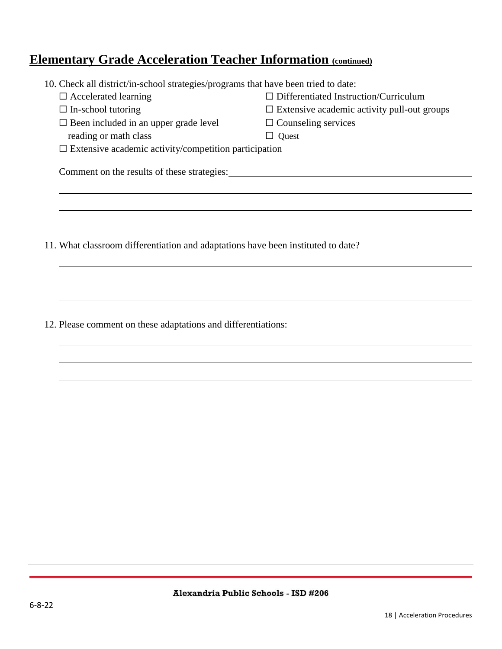### **<u>Elementary Grade Acceleration Teacher Information (continued)</u>**

| 10. Check all district/in-school strategies/programs that have been tried to date: |                                                    |  |  |  |
|------------------------------------------------------------------------------------|----------------------------------------------------|--|--|--|
| $\Box$ Accelerated learning                                                        | $\Box$ Differentiated Instruction/Curriculum       |  |  |  |
| $\Box$ In-school tutoring                                                          | $\Box$ Extensive academic activity pull-out groups |  |  |  |
| $\Box$ Been included in an upper grade level                                       | $\Box$ Counseling services                         |  |  |  |
| reading or math class                                                              | l Quest                                            |  |  |  |
| $\Box$ Extensive academic activity/competition participation                       |                                                    |  |  |  |
| Comment on the results of these strategies:                                        |                                                    |  |  |  |
|                                                                                    |                                                    |  |  |  |
|                                                                                    |                                                    |  |  |  |
|                                                                                    |                                                    |  |  |  |
|                                                                                    |                                                    |  |  |  |
| 11. What classroom differentiation and adaptations have been instituted to date?   |                                                    |  |  |  |

12. Please comment on these adaptations and differentiations: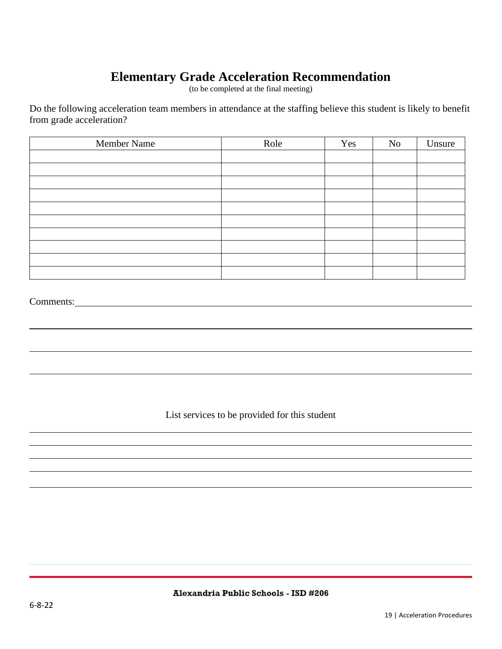### **Elementary Grade Acceleration Recommendation**

(to be completed at the final meeting)

Do the following acceleration team members in attendance at the staffing believe this student is likely to benefit from grade acceleration?

| Member Name | Role | Yes | No | Unsure |
|-------------|------|-----|----|--------|
|             |      |     |    |        |
|             |      |     |    |        |
|             |      |     |    |        |
|             |      |     |    |        |
|             |      |     |    |        |
|             |      |     |    |        |
|             |      |     |    |        |
|             |      |     |    |        |
|             |      |     |    |        |
|             |      |     |    |        |

#### Comments:

List services to be provided for this student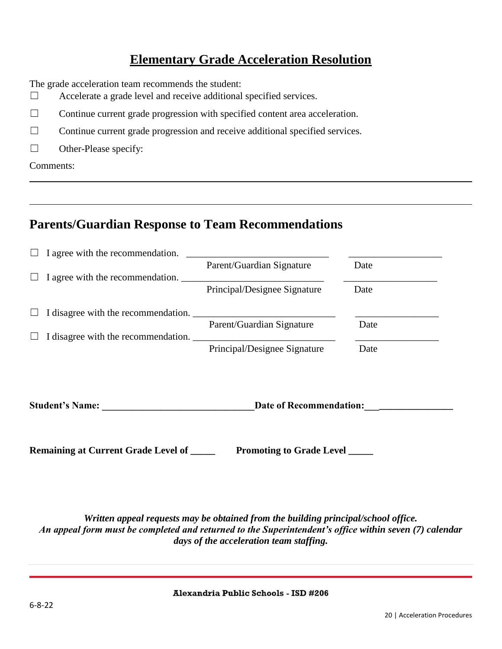### **Elementary Grade Acceleration Resolution**

The grade acceleration team recommends the student:

- ☐ Accelerate a grade level and receive additional specified services.
- $\Box$  Continue current grade progression with specified content area acceleration.
- ☐ Continue current grade progression and receive additional specified services.
- $\Box$  Other-Please specify:

Comments:

### **Parents/Guardian Response to Team Recommendations**

| <b>Student's Name:</b>              | Date of Recommendation:      |      |
|-------------------------------------|------------------------------|------|
|                                     | Principal/Designee Signature | Date |
| I disagree with the recommendation. | Parent/Guardian Signature    | Date |
| I disagree with the recommendation. |                              |      |
|                                     | Principal/Designee Signature | Date |
| I agree with the recommendation.    | Parent/Guardian Signature    | Date |
| I agree with the recommendation.    |                              |      |

**Remaining at Current Grade Level of Promoting to Grade Level Level Level Level Example 2014** 

*Written appeal requests may be obtained from the building principal/school office. An appeal form must be completed and returned to the Superintendent's office within seven (7) calendar days of the acceleration team staffing.*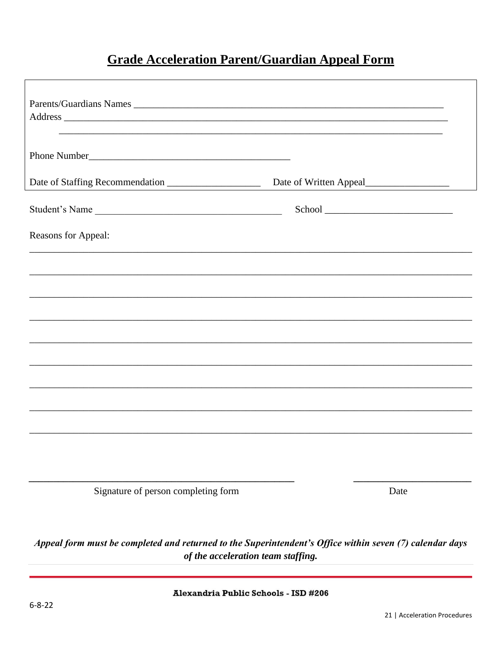### **Grade Acceleration Parent/Guardian Appeal Form**

| Parents/Guardians Names<br>,我们也不会有什么。""我们的人,我们也不会有什么?""我们的人,我们也不会有什么?""我们的人,我们也不会有什么?""我们的人,我们也不会有什么?""我们的人                                    |      |
|------------------------------------------------------------------------------------------------------------------------------------------------|------|
|                                                                                                                                                |      |
| Date of Staffing Recommendation                                                                                                                |      |
| Student's Name                                                                                                                                 |      |
| Reasons for Appeal:                                                                                                                            |      |
|                                                                                                                                                |      |
|                                                                                                                                                |      |
|                                                                                                                                                |      |
|                                                                                                                                                |      |
|                                                                                                                                                |      |
|                                                                                                                                                |      |
|                                                                                                                                                |      |
|                                                                                                                                                |      |
|                                                                                                                                                |      |
| Signature of person completing form                                                                                                            | Date |
| Appeal form must be completed and returned to the Superintendent's Office within seven (7) calendar days<br>of the acceleration team staffing. |      |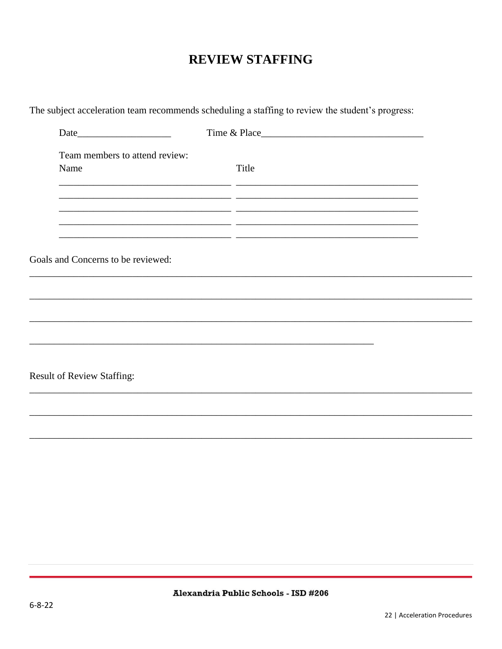### **REVIEW STAFFING**

| Team members to attend review:     |                                                                                   |  |
|------------------------------------|-----------------------------------------------------------------------------------|--|
| Name                               | Title                                                                             |  |
|                                    |                                                                                   |  |
|                                    |                                                                                   |  |
|                                    |                                                                                   |  |
|                                    |                                                                                   |  |
| Goals and Concerns to be reviewed: |                                                                                   |  |
|                                    |                                                                                   |  |
|                                    |                                                                                   |  |
|                                    |                                                                                   |  |
|                                    |                                                                                   |  |
|                                    | ,我们也不能在这里的时候,我们也不能在这里的时候,我们也不能会在这里的时候,我们也不能会在这里的时候,我们也不能会在这里的时候,我们也不能会在这里的时候,我们也不 |  |
|                                    |                                                                                   |  |
|                                    |                                                                                   |  |
|                                    |                                                                                   |  |
|                                    |                                                                                   |  |
|                                    |                                                                                   |  |
| <b>Result of Review Staffing:</b>  |                                                                                   |  |

The subject acceleration team recommends scheduling a staffing to review the student's progress: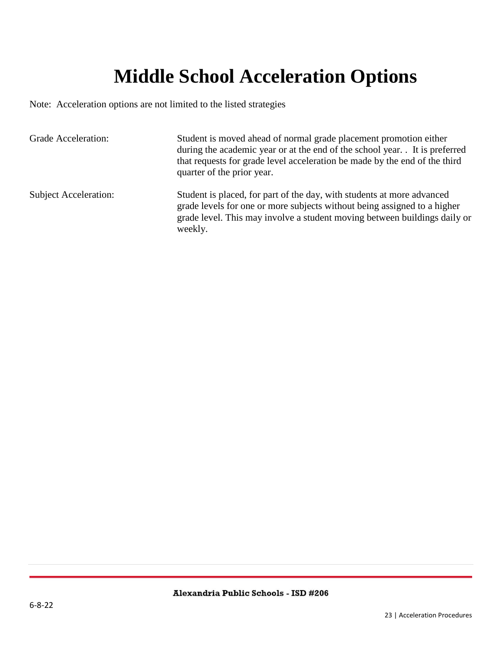## **Middle School Acceleration Options**

<span id="page-22-0"></span>Note: Acceleration options are not limited to the listed strategies

| <b>Grade Acceleration:</b>   | Student is moved ahead of normal grade placement promotion either<br>during the academic year or at the end of the school year. It is preferred<br>that requests for grade level acceleration be made by the end of the third<br>quarter of the prior year. |
|------------------------------|-------------------------------------------------------------------------------------------------------------------------------------------------------------------------------------------------------------------------------------------------------------|
| <b>Subject Acceleration:</b> | Student is placed, for part of the day, with students at more advanced<br>grade levels for one or more subjects without being assigned to a higher<br>grade level. This may involve a student moving between buildings daily or<br>weekly.                  |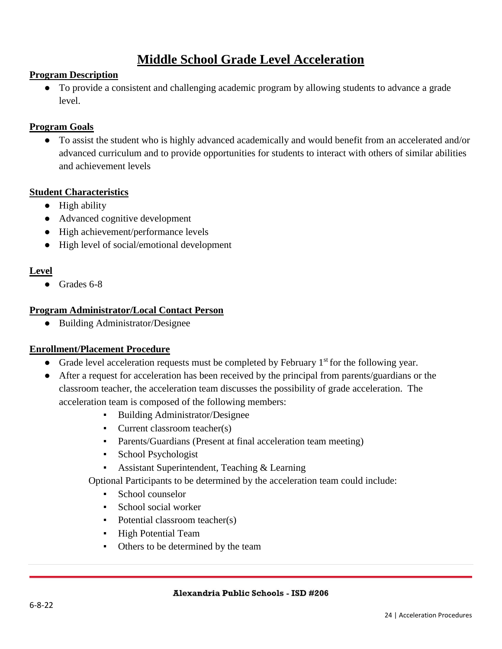### **Middle School Grade Level Acceleration**

#### **Program Description**

● To provide a consistent and challenging academic program by allowing students to advance a grade level.

#### **Program Goals**

● To assist the student who is highly advanced academically and would benefit from an accelerated and/or advanced curriculum and to provide opportunities for students to interact with others of similar abilities and achievement levels

#### **Student Characteristics**

- High ability
- Advanced cognitive development
- High achievement/performance levels
- High level of social/emotional development

#### **Level**

● Grades 6-8

#### **Program Administrator/Local Contact Person**

● Building Administrator/Designee

#### **Enrollment/Placement Procedure**

- Grade level acceleration requests must be completed by February  $1<sup>st</sup>$  for the following year.
- After a request for acceleration has been received by the principal from parents/guardians or the classroom teacher, the acceleration team discusses the possibility of grade acceleration. The acceleration team is composed of the following members:
	- Building Administrator/Designee
	- Current classroom teacher(s)
	- Parents/Guardians (Present at final acceleration team meeting)
	- School Psychologist
	- **Assistant Superintendent, Teaching & Learning**

Optional Participants to be determined by the acceleration team could include:

- School counselor
- School social worker
- Potential classroom teacher(s)
- High Potential Team
- Others to be determined by the team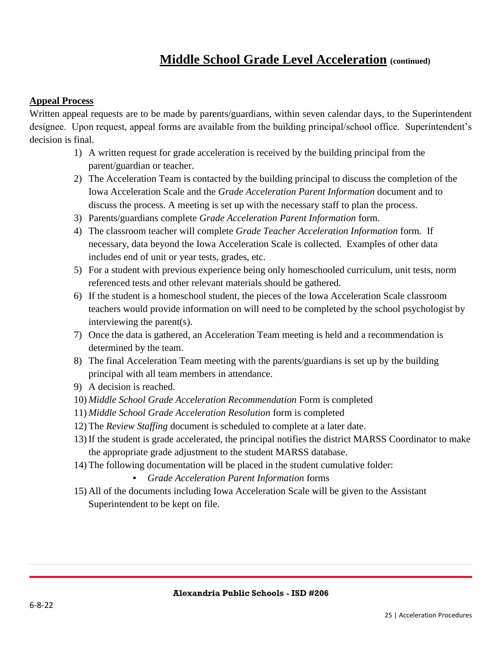### **Middle School Grade Level Acceleration (continued)**

#### **Appeal Process**

Written appeal requests are to be made by parents/guardians, within seven calendar days, to the Superintendent designee. Upon request, appeal forms are available from the building principal/school office. Superintendent's decision is final.

- 1) A written request for grade acceleration is received by the building principal from the parent/guardian or teacher.
- 2) The Acceleration Team is contacted by the building principal to discuss the completion of the Iowa Acceleration Scale and the *Grade Acceleration Parent Information* document and to discuss the process. A meeting is set up with the necessary staff to plan the process.
- 3) Parents/guardians complete *Grade Acceleration Parent Information* form.
- 4) The classroom teacher will complete *Grade Teacher Acceleration Information* form. If necessary, data beyond the Iowa Acceleration Scale is collected. Examples of other data includes end of unit or year tests, grades, etc.
- 5) For a student with previous experience being only homeschooled curriculum, unit tests, norm referenced tests and other relevant materials should be gathered.
- 6) If the student is a homeschool student, the pieces of the Iowa Acceleration Scale classroom teachers would provide information on will need to be completed by the school psychologist by interviewing the parent(s).
- 7) Once the data is gathered, an Acceleration Team meeting is held and a recommendation is determined by the team.
- 8) The final Acceleration Team meeting with the parents/guardians is set up by the building principal with all team members in attendance.
- 9) A decision is reached.
- 10) *Middle School Grade Acceleration Recommendation* Form is completed
- 11) *Middle School Grade Acceleration Resolution* form is completed
- 12) The *Review Staffing* document is scheduled to complete at a later date.
- 13) If the student is grade accelerated, the principal notifies the district MARSS Coordinator to make the appropriate grade adjustment to the student MARSS database.
- 14) The following documentation will be placed in the student cumulative folder:
	- *Grade Acceleration Parent Information* forms
- 15) All of the documents including Iowa Acceleration Scale will be given to the Assistant Superintendent to be kept on file.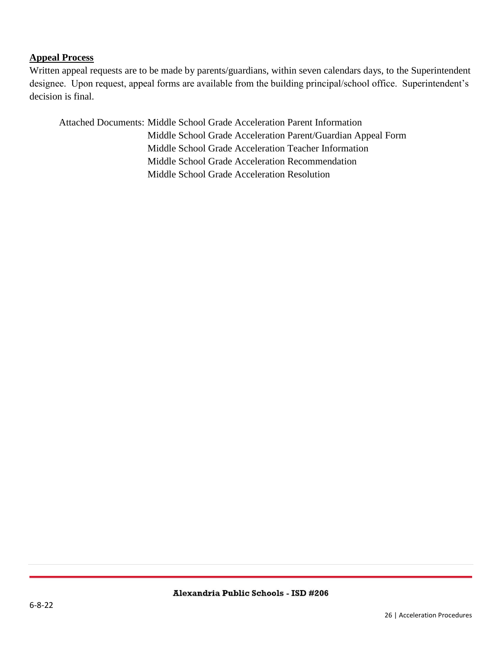#### **Appeal Process**

Written appeal requests are to be made by parents/guardians, within seven calendars days, to the Superintendent designee. Upon request, appeal forms are available from the building principal/school office. Superintendent's decision is final.

Attached Documents: Middle School Grade Acceleration Parent Information Middle School Grade Acceleration Parent/Guardian Appeal Form Middle School Grade Acceleration Teacher Information Middle School Grade Acceleration Recommendation Middle School Grade Acceleration Resolution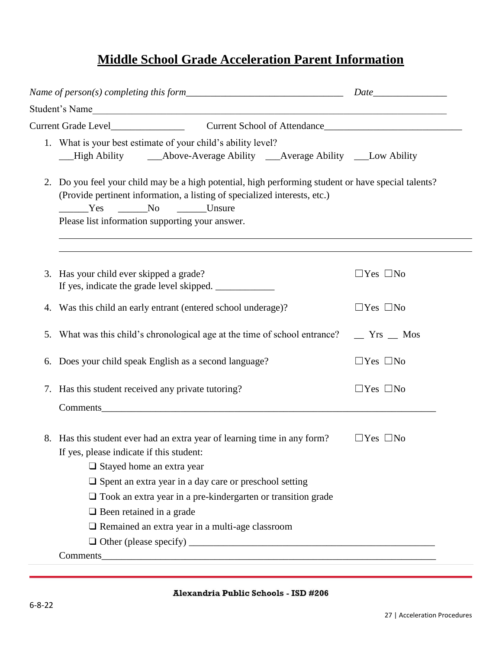### **Middle School Grade Acceleration Parent Information**

|    | Student's Name                                                                                                                                                                                                                                                                                                                                                                              |                           |  |  |
|----|---------------------------------------------------------------------------------------------------------------------------------------------------------------------------------------------------------------------------------------------------------------------------------------------------------------------------------------------------------------------------------------------|---------------------------|--|--|
|    | Current School of Attendance                                                                                                                                                                                                                                                                                                                                                                |                           |  |  |
|    | 1. What is your best estimate of your child's ability level?                                                                                                                                                                                                                                                                                                                                |                           |  |  |
| 2. | Do you feel your child may be a high potential, high performing student or have special talents?<br>(Provide pertinent information, a listing of specialized interests, etc.)<br>$\overline{\phantom{1}}$ No<br>Unsure<br>$\frac{\ }{}$ Yes<br>Please list information supporting your answer.<br>,我们也不会有什么。""我们的人,我们也不会有什么?""我们的人,我们也不会有什么?""我们的人,我们也不会有什么?""我们的人,我们也不会有什么?""我们的人          |                           |  |  |
|    | 3. Has your child ever skipped a grade?<br>If yes, indicate the grade level skipped. _____________                                                                                                                                                                                                                                                                                          | $\Box$ Yes $\Box$ No      |  |  |
| 4. | Was this child an early entrant (entered school underage)?                                                                                                                                                                                                                                                                                                                                  | $\Box$ Yes $\Box$ No      |  |  |
| 5. | What was this child's chronological age at the time of school entrance?                                                                                                                                                                                                                                                                                                                     | $\equiv$ Yrs $\equiv$ Mos |  |  |
| 6. | Does your child speak English as a second language?                                                                                                                                                                                                                                                                                                                                         | $\Box$ Yes $\Box$ No      |  |  |
|    | 7. Has this student received any private tutoring?<br>Comments experience of the contract of the contract of the contract of the contract of the contract of the contract of the contract of the contract of the contract of the contract of the contract of the contract of the con                                                                                                        | $\Box$ Yes $\Box$ No      |  |  |
|    | 8. Has this student ever had an extra year of learning time in any form?<br>If yes, please indicate if this student:<br>$\Box$ Stayed home an extra year<br>$\square$ Spent an extra year in a day care or preschool setting<br>$\Box$ Took an extra year in a pre-kindergarten or transition grade<br>$\Box$ Been retained in a grade<br>□ Remained an extra year in a multi-age classroom | $\Box$ Yes $\Box$ No      |  |  |
|    | Comments <u>comments</u>                                                                                                                                                                                                                                                                                                                                                                    |                           |  |  |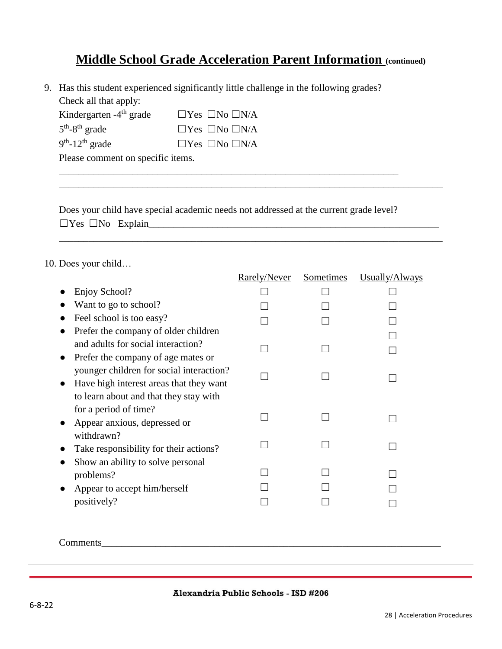### **Middle School Grade Acceleration Parent Information (continued)**

9. Has this student experienced significantly little challenge in the following grades? Check all that apply:

| Kindergarten $-4$ <sup>th</sup> grade | $\Box$ Yes $\Box$ No $\Box$ N/A |
|---------------------------------------|---------------------------------|
| $5th - 8th$ grade                     | $\Box$ Yes $\Box$ No $\Box$ N/A |
| $9th$ -12 <sup>th</sup> grade         | $\Box$ Yes $\Box$ No $\Box$ N/A |

Please comment on specific items.

Does your child have special academic needs not addressed at the current grade level? ☐Yes ☐No Explain\_\_\_\_\_\_\_\_\_\_\_\_\_\_\_\_\_\_\_\_\_\_\_\_\_\_\_\_\_\_\_\_\_\_\_\_\_\_\_\_\_\_\_\_\_\_\_\_\_\_\_\_\_\_\_\_\_\_\_

\_\_\_\_\_\_\_\_\_\_\_\_\_\_\_\_\_\_\_\_\_\_\_\_\_\_\_\_\_\_\_\_\_\_\_\_\_\_\_\_\_\_\_\_\_\_\_\_\_\_\_\_\_\_\_\_\_\_\_\_\_\_\_\_\_\_\_\_\_\_\_\_\_\_\_\_\_\_

\_\_\_\_\_\_\_\_\_\_\_\_\_\_\_\_\_\_\_\_\_\_\_\_\_\_\_\_\_\_\_\_\_\_\_\_\_\_\_\_\_\_\_\_\_\_\_\_\_\_\_\_\_\_\_\_\_\_\_\_\_\_\_\_\_\_\_\_\_  $\mathcal{L}_\text{max} = \mathcal{L}_\text{max} = \mathcal{L}_\text{max} = \mathcal{L}_\text{max} = \mathcal{L}_\text{max} = \mathcal{L}_\text{max} = \mathcal{L}_\text{max} = \mathcal{L}_\text{max} = \mathcal{L}_\text{max} = \mathcal{L}_\text{max} = \mathcal{L}_\text{max} = \mathcal{L}_\text{max} = \mathcal{L}_\text{max} = \mathcal{L}_\text{max} = \mathcal{L}_\text{max} = \mathcal{L}_\text{max} = \mathcal{L}_\text{max} = \mathcal{L}_\text{max} = \mathcal{$ 

#### 10. Does your child…

|                                                | Rarely/Never | Sometimes | Usually/Always |
|------------------------------------------------|--------------|-----------|----------------|
| Enjoy School?                                  |              |           |                |
| Want to go to school?                          |              |           |                |
| Feel school is too easy?                       |              |           |                |
| Prefer the company of older children           |              |           |                |
| and adults for social interaction?             |              |           |                |
| Prefer the company of age mates or             |              |           |                |
| younger children for social interaction?       |              |           |                |
| Have high interest areas that they want        |              |           |                |
| to learn about and that they stay with         |              |           |                |
| for a period of time?                          |              |           |                |
| Appear anxious, depressed or                   |              |           |                |
| withdrawn?                                     |              |           |                |
| Take responsibility for their actions?         |              |           |                |
| Show an ability to solve personal<br>problems? |              |           |                |
| Appear to accept him/herself                   |              |           |                |
| positively?                                    |              |           |                |
|                                                |              |           |                |

Comments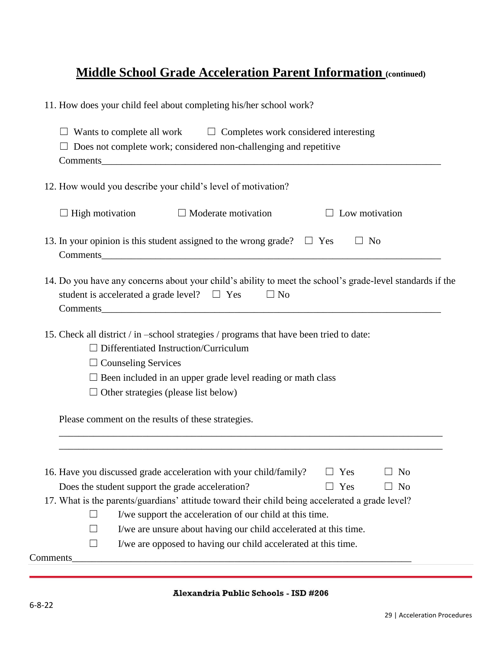### **Middle School Grade Acceleration Parent Information (continued)**

11. How does your child feel about completing his/her school work?

| $\Box$ Wants to complete all work $\Box$ Completes work considered interesting<br>$\Box$ Does not complete work; considered non-challenging and repetitive                                                                                                                                                                                                                                                                                                                                   |
|----------------------------------------------------------------------------------------------------------------------------------------------------------------------------------------------------------------------------------------------------------------------------------------------------------------------------------------------------------------------------------------------------------------------------------------------------------------------------------------------|
| 12. How would you describe your child's level of motivation?                                                                                                                                                                                                                                                                                                                                                                                                                                 |
| $\Box$ High motivation<br>$\Box$ Moderate motivation<br>$\Box$ Low motivation                                                                                                                                                                                                                                                                                                                                                                                                                |
| 13. In your opinion is this student assigned to the wrong grade? $\Box$ Yes<br>$\Box$ No                                                                                                                                                                                                                                                                                                                                                                                                     |
| 14. Do you have any concerns about your child's ability to meet the school's grade-level standards if the<br>student is accelerated a grade level? $\Box$ Yes<br>$\Box$ No<br>Comments experience of the contract of the contract of the contract of the contract of the contract of the contract of the contract of the contract of the contract of the contract of the contract of the contract of the con                                                                                 |
| 15. Check all district / in -school strategies / programs that have been tried to date:<br>Differentiated Instruction/Curriculum<br>$\Box$ Counseling Services<br>$\square$ Been included in an upper grade level reading or math class<br>$\Box$ Other strategies (please list below)                                                                                                                                                                                                       |
| Please comment on the results of these strategies.                                                                                                                                                                                                                                                                                                                                                                                                                                           |
| 16. Have you discussed grade acceleration with your child/family?<br>$\Box$ Yes<br>$\Box$ No<br>Does the student support the grade acceleration?<br>$\Box$ Yes<br>$\Box$ No<br>17. What is the parents/guardians' attitude toward their child being accelerated a grade level?<br>I/we support the acceleration of our child at this time.<br>I/we are unsure about having our child accelerated at this time.<br>I/we are opposed to having our child accelerated at this time.<br>Comments |
|                                                                                                                                                                                                                                                                                                                                                                                                                                                                                              |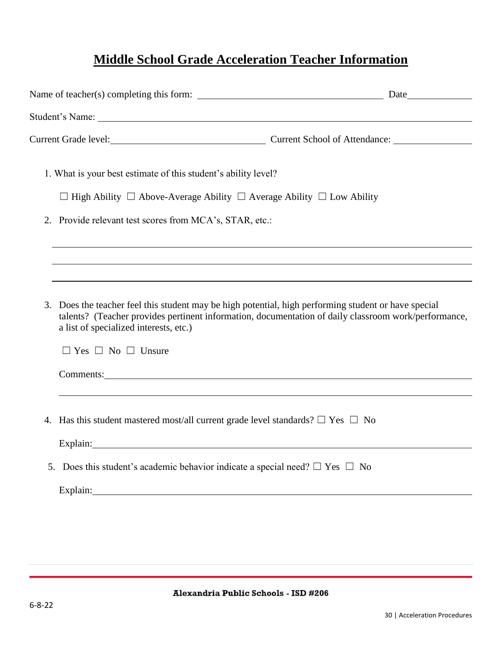### **Middle School Grade Acceleration Teacher Information**

| 1. What is your best estimate of this student's ability level?                            |                                                                                            |                                                                                                                                                                                                           |
|-------------------------------------------------------------------------------------------|--------------------------------------------------------------------------------------------|-----------------------------------------------------------------------------------------------------------------------------------------------------------------------------------------------------------|
|                                                                                           | $\Box$ High Ability $\Box$ Above-Average Ability $\Box$ Average Ability $\Box$ Low Ability |                                                                                                                                                                                                           |
| 2. Provide relevant test scores from MCA's, STAR, etc.:                                   |                                                                                            |                                                                                                                                                                                                           |
|                                                                                           |                                                                                            | ,我们也不会有什么。""我们的人,我们也不会有什么?""我们的人,我们也不会有什么?""我们的人,我们也不会有什么?""我们的人,我们也不会有什么?""我们的人                                                                                                                          |
| 3.<br>a list of specialized interests, etc.)<br>$\Box$ Yes $\Box$ No $\Box$ Unsure        |                                                                                            | Does the teacher feel this student may be high potential, high performing student or have special<br>talents? (Teacher provides pertinent information, documentation of daily classroom work/performance, |
|                                                                                           |                                                                                            | Comments: <u>Comments:</u>                                                                                                                                                                                |
| 4. Has this student mastered most/all current grade level standards? $\Box$ Yes $\Box$ No |                                                                                            |                                                                                                                                                                                                           |
| 5. Does this student's academic behavior indicate a special need? $\Box$ Yes $\Box$ No    |                                                                                            |                                                                                                                                                                                                           |
|                                                                                           |                                                                                            |                                                                                                                                                                                                           |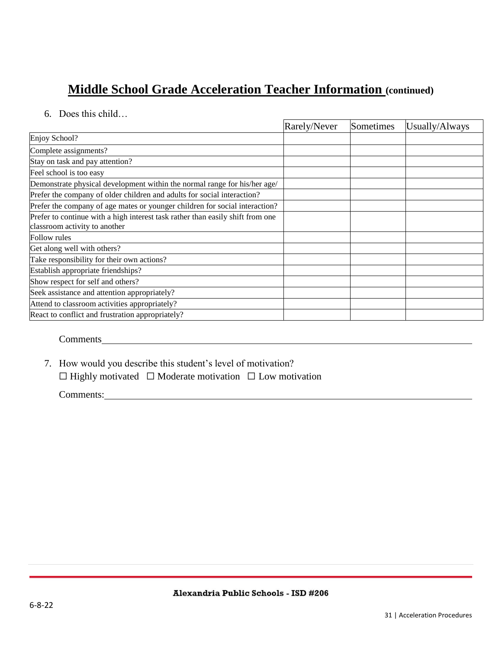### **Middle School Grade Acceleration Teacher Information (continued)**

#### 6. Does this child…

|                                                                                                                 | Rarely/Never | Sometimes | Usually/Always |
|-----------------------------------------------------------------------------------------------------------------|--------------|-----------|----------------|
| Enjoy School?                                                                                                   |              |           |                |
| Complete assignments?                                                                                           |              |           |                |
| Stay on task and pay attention?                                                                                 |              |           |                |
| Feel school is too easy                                                                                         |              |           |                |
| Demonstrate physical development within the normal range for his/her age/                                       |              |           |                |
| Prefer the company of older children and adults for social interaction?                                         |              |           |                |
| Prefer the company of age mates or younger children for social interaction?                                     |              |           |                |
| Prefer to continue with a high interest task rather than easily shift from one<br>classroom activity to another |              |           |                |
| Follow rules                                                                                                    |              |           |                |
| Get along well with others?                                                                                     |              |           |                |
| Take responsibility for their own actions?                                                                      |              |           |                |
| Establish appropriate friendships?                                                                              |              |           |                |
| Show respect for self and others?                                                                               |              |           |                |
| Seek assistance and attention appropriately?                                                                    |              |           |                |
| Attend to classroom activities appropriately?                                                                   |              |           |                |
| React to conflict and frustration appropriately?                                                                |              |           |                |

#### Comments

7. How would you describe this student's level of motivation?

☐ Highly motivated ☐ Moderate motivation ☐ Low motivation

Comments: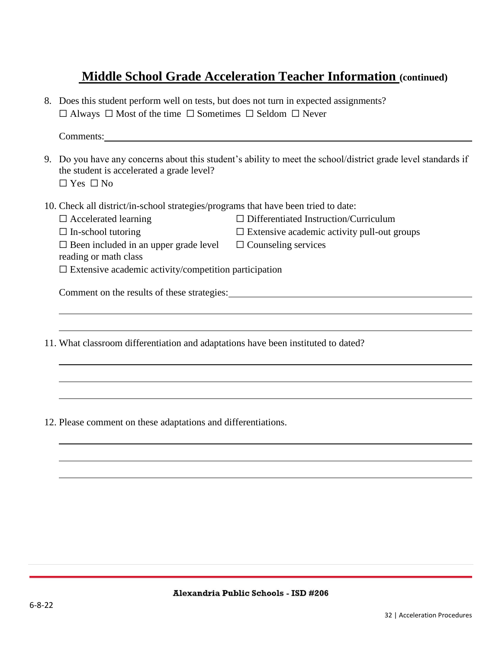### **Middle School Grade Acceleration Teacher Information (continued)**

8. Does this student perform well on tests, but does not turn in expected assignments? ☐ Always ☐ Most of the time ☐ Sometimes ☐ Seldom ☐ Never

Comments:

- 9. Do you have any concerns about this student's ability to meet the school/district grade level standards if the student is accelerated a grade level?  $\Box$  Yes  $\Box$  No
- 10. Check all district/in-school strategies/programs that have been tried to date:
	- -
	- ☐ Accelerated learning ☐ Differentiated Instruction/Curriculum
	- $\Box$  In-school tutoring  $\Box$  Extensive academic activity pull-out groups
	- $\Box$  Been included in an upper grade level  $\Box$  Counseling services

reading or math class

 $\Box$  Extensive academic activity/competition participation

Comment on the results of these strategies:

11. What classroom differentiation and adaptations have been instituted to dated?

12. Please comment on these adaptations and differentiations.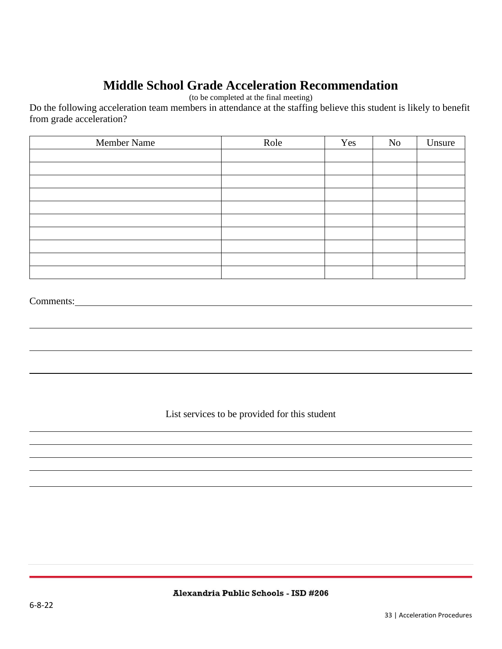### **Middle School Grade Acceleration Recommendation**

(to be completed at the final meeting)

Do the following acceleration team members in attendance at the staffing believe this student is likely to benefit from grade acceleration?

| Member Name | Role | Yes | No | Unsure |
|-------------|------|-----|----|--------|
|             |      |     |    |        |
|             |      |     |    |        |
|             |      |     |    |        |
|             |      |     |    |        |
|             |      |     |    |        |
|             |      |     |    |        |
|             |      |     |    |        |
|             |      |     |    |        |
|             |      |     |    |        |
|             |      |     |    |        |

#### Comments:

List services to be provided for this student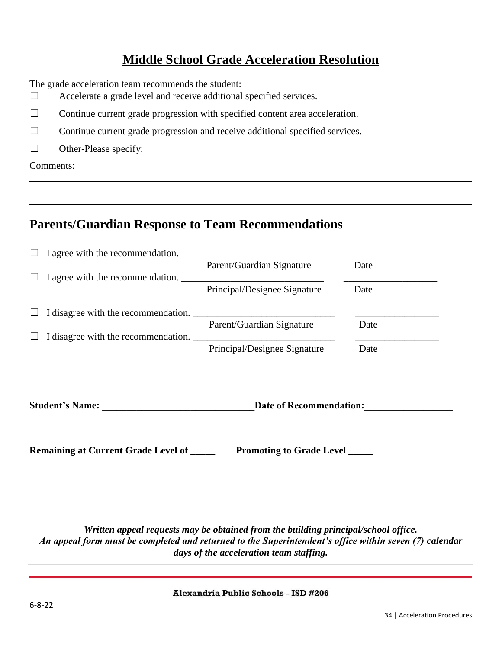### **Middle School Grade Acceleration Resolution**

The grade acceleration team recommends the student:

- ☐ Accelerate a grade level and receive additional specified services.
- $\Box$  Continue current grade progression with specified content area acceleration.
- ☐ Continue current grade progression and receive additional specified services.
- $\Box$  Other-Please specify:

Comments:

### **Parents/Guardian Response to Team Recommendations**

| ш      | I agree with the recommendation.    |                              |      |
|--------|-------------------------------------|------------------------------|------|
|        |                                     | Parent/Guardian Signature    | Date |
| $\Box$ | I agree with the recommendation.    |                              |      |
|        |                                     | Principal/Designee Signature | Date |
| $\Box$ | I disagree with the recommendation. |                              |      |
|        |                                     | Parent/Guardian Signature    | Date |
|        | I disagree with the recommendation. |                              |      |
|        |                                     | Principal/Designee Signature | Date |
|        |                                     |                              |      |
|        |                                     |                              |      |

**Student's Name: \_\_\_\_\_\_\_\_\_\_\_\_\_\_\_\_\_\_\_\_\_\_\_\_\_\_\_\_\_\_\_Date of Recommendation:\_\_\_\_\_\_\_\_\_\_\_\_\_\_\_\_\_\_**

**Remaining at Current Grade Level of Promoting to Grade Level Level Level Level Example 2014** 

*Written appeal requests may be obtained from the building principal/school office. An appeal form must be completed and returned to the Superintendent's office within seven (7) calendar days of the acceleration team staffing.*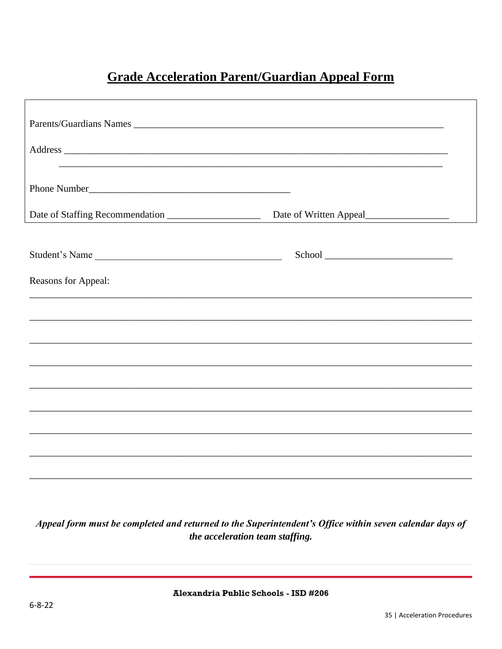### **Grade Acceleration Parent/Guardian Appeal Form**

| Date of Staffing Recommendation                                                   | Date of Written Appeal |  |
|-----------------------------------------------------------------------------------|------------------------|--|
| Student's Name                                                                    |                        |  |
| Reasons for Appeal:                                                               |                        |  |
| ,我们也不能在这里的时候,我们也不能在这里的时候,我们也不能会在这里的时候,我们也不能会在这里的时候,我们也不能会在这里的时候,我们也不能会在这里的时候,我们也不 |                        |  |
|                                                                                   |                        |  |
|                                                                                   |                        |  |
|                                                                                   |                        |  |
|                                                                                   |                        |  |
|                                                                                   |                        |  |
|                                                                                   |                        |  |

Appeal form must be completed and returned to the Superintendent's Office within seven calendar days of the acceleration team staffing.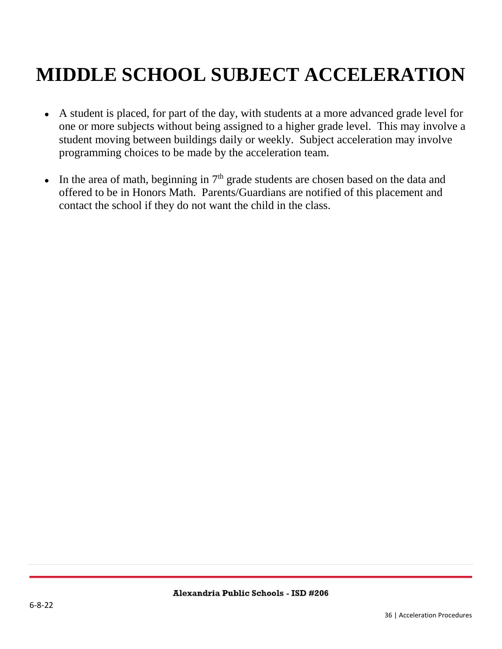# <span id="page-35-0"></span>**MIDDLE SCHOOL SUBJECT ACCELERATION**

- A student is placed, for part of the day, with students at a more advanced grade level for one or more subjects without being assigned to a higher grade level. This may involve a student moving between buildings daily or weekly. Subject acceleration may involve programming choices to be made by the acceleration team.
- In the area of math, beginning in  $7<sup>th</sup>$  grade students are chosen based on the data and offered to be in Honors Math. Parents/Guardians are notified of this placement and contact the school if they do not want the child in the class.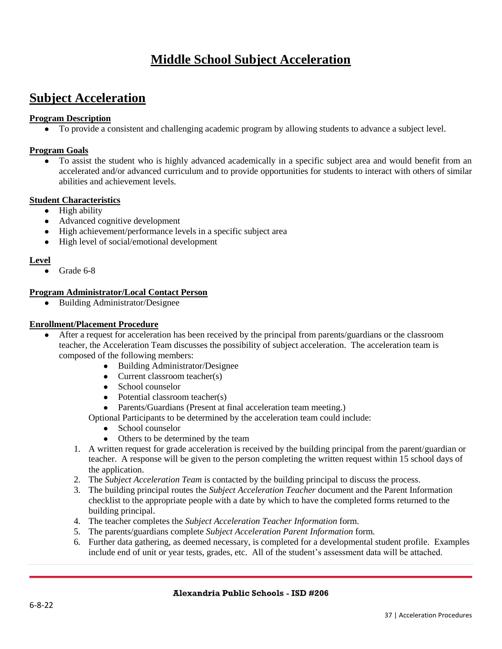### **Middle School Subject Acceleration**

### **Subject Acceleration**

#### **Program Description**

● To provide a consistent and challenging academic program by allowing students to advance a subject level.

#### **Program Goals**

• To assist the student who is highly advanced academically in a specific subject area and would benefit from an accelerated and/or advanced curriculum and to provide opportunities for students to interact with others of similar abilities and achievement levels.

#### **Student Characteristics**

- High ability
- Advanced cognitive development
- High achievement/performance levels in a specific subject area
- High level of social/emotional development

#### **Level**

Grade 6-8

#### **Program Administrator/Local Contact Person**

● Building Administrator/Designee

#### **Enrollment/Placement Procedure**

- After a request for acceleration has been received by the principal from parents/guardians or the classroom teacher, the Acceleration Team discusses the possibility of subject acceleration. The acceleration team is composed of the following members:
	- Building Administrator/Designee
	- Current classroom teacher(s)
	- School counselor
	- $\bullet$  Potential classroom teacher(s)
	- Parents/Guardians (Present at final acceleration team meeting.)

Optional Participants to be determined by the acceleration team could include:

- School counselor
- Others to be determined by the team
- 1. A written request for grade acceleration is received by the building principal from the parent/guardian or teacher. A response will be given to the person completing the written request within 15 school days of the application.
- 2. The *Subject Acceleration Team* is contacted by the building principal to discuss the process.
- 3. The building principal routes the *Subject Acceleration Teacher* document and the Parent Information checklist to the appropriate people with a date by which to have the completed forms returned to the building principal.
- 4. The teacher completes the *Subject Acceleration Teacher Information* form.
- 5. The parents/guardians complete *Subject Acceleration Parent Information* form.
- 6. Further data gathering, as deemed necessary, is completed for a developmental student profile. Examples include end of unit or year tests, grades, etc. All of the student's assessment data will be attached.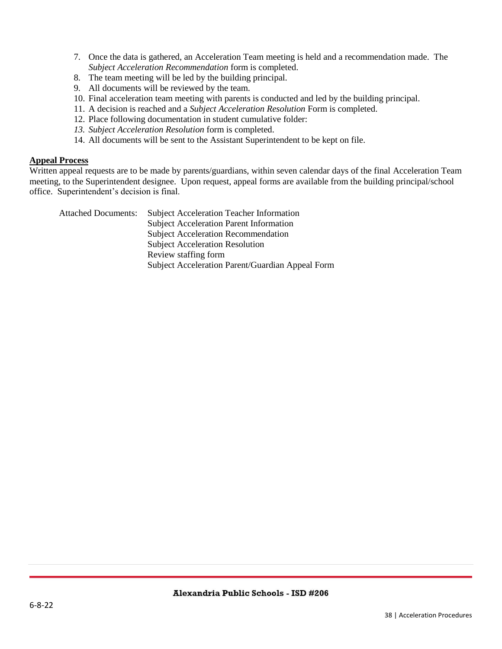- 7. Once the data is gathered, an Acceleration Team meeting is held and a recommendation made. The *Subject Acceleration Recommendation* form is completed.
- 8. The team meeting will be led by the building principal.
- 9. All documents will be reviewed by the team.
- 10. Final acceleration team meeting with parents is conducted and led by the building principal.
- 11. A decision is reached and a *Subject Acceleration Resolution* Form is completed.
- 12. Place following documentation in student cumulative folder:
- *13. Subject Acceleration Resolution* form is completed.
- 14. All documents will be sent to the Assistant Superintendent to be kept on file.

#### **Appeal Process**

Written appeal requests are to be made by parents/guardians, within seven calendar days of the final Acceleration Team meeting, to the Superintendent designee. Upon request, appeal forms are available from the building principal/school office. Superintendent's decision is final.

Attached Documents: Subject Acceleration Teacher Information Subject Acceleration Parent Information Subject Acceleration Recommendation Subject Acceleration Resolution Review staffing form Subject Acceleration Parent/Guardian Appeal Form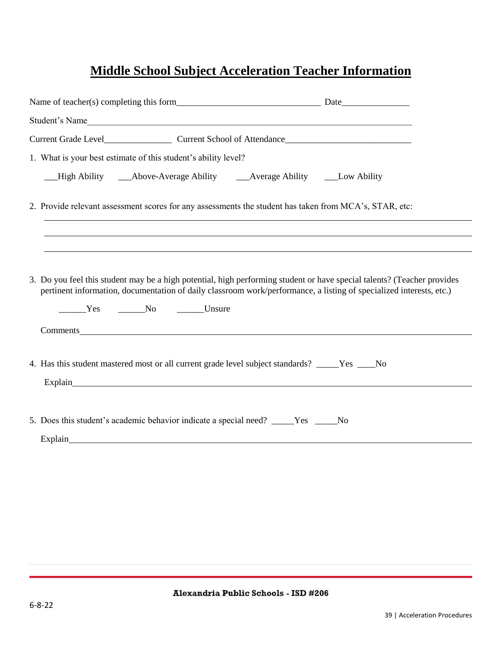## **Middle School Subject Acceleration Teacher Information**

| Student's Name                                                                                                                                                                                                                                                  |  |
|-----------------------------------------------------------------------------------------------------------------------------------------------------------------------------------------------------------------------------------------------------------------|--|
|                                                                                                                                                                                                                                                                 |  |
| 1. What is your best estimate of this student's ability level?                                                                                                                                                                                                  |  |
|                                                                                                                                                                                                                                                                 |  |
| 2. Provide relevant assessment scores for any assessments the student has taken from MCA's, STAR, etc:                                                                                                                                                          |  |
| 3. Do you feel this student may be a high potential, high performing student or have special talents? (Teacher provides<br>pertinent information, documentation of daily classroom work/performance, a listing of specialized interests, etc.)<br>Ves No Unsure |  |
| Comments expression and the comments of the comments of the comments of the comments of the comments of the comments of the comments of the comments of the comments of the comments of the comments of the comments of the co                                  |  |
| 4. Has this student mastered most or all current grade level subject standards? _____Yes ____No                                                                                                                                                                 |  |
| 5. Does this student's academic behavior indicate a special need? ____Yes ____No                                                                                                                                                                                |  |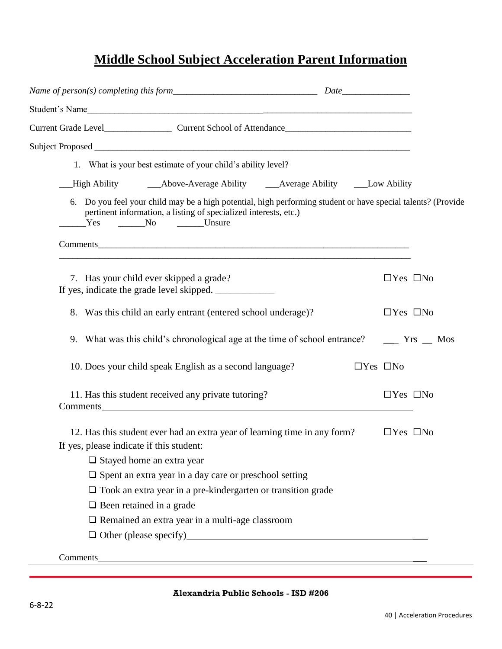### **Middle School Subject Acceleration Parent Information**

| Student's Name                                                                                                                                                                                                                      |                      |
|-------------------------------------------------------------------------------------------------------------------------------------------------------------------------------------------------------------------------------------|----------------------|
|                                                                                                                                                                                                                                     |                      |
|                                                                                                                                                                                                                                     |                      |
| 1. What is your best estimate of your child's ability level?                                                                                                                                                                        |                      |
|                                                                                                                                                                                                                                     |                      |
| 6. Do you feel your child may be a high potential, high performing student or have special talents? (Provide<br>pertinent information, a listing of specialized interests, etc.)<br>Yes No Lunsure                                  |                      |
|                                                                                                                                                                                                                                     |                      |
| 7. Has your child ever skipped a grade?                                                                                                                                                                                             | $\Box$ Yes $\Box$ No |
| 8. Was this child an early entrant (entered school underage)?                                                                                                                                                                       | $\Box$ Yes $\Box$ No |
|                                                                                                                                                                                                                                     |                      |
| 10. Does your child speak English as a second language?                                                                                                                                                                             | $\Box$ Yes $\Box$ No |
| 11. Has this student received any private tutoring?<br>Comments <u>comments</u>                                                                                                                                                     | $\Box$ Yes $\Box$ No |
| 12. Has this student ever had an extra year of learning time in any form?                                                                                                                                                           | $\Box$ Yes $\Box$ No |
| If yes, please indicate if this student:                                                                                                                                                                                            |                      |
| $\Box$ Stayed home an extra year                                                                                                                                                                                                    |                      |
| $\square$ Spent an extra year in a day care or preschool setting                                                                                                                                                                    |                      |
| $\Box$ Took an extra year in a pre-kindergarten or transition grade<br>$\Box$ Been retained in a grade                                                                                                                              |                      |
| Remained an extra year in a multi-age classroom                                                                                                                                                                                     |                      |
| Other (please specify)<br><u>Other (please specify)</u>                                                                                                                                                                             |                      |
| Comments <u>comments</u> and contain the contact of the contact of the contact of the contact of the contact of the contact of the contact of the contact of the contact of the contact of the contact of the contact of the contac |                      |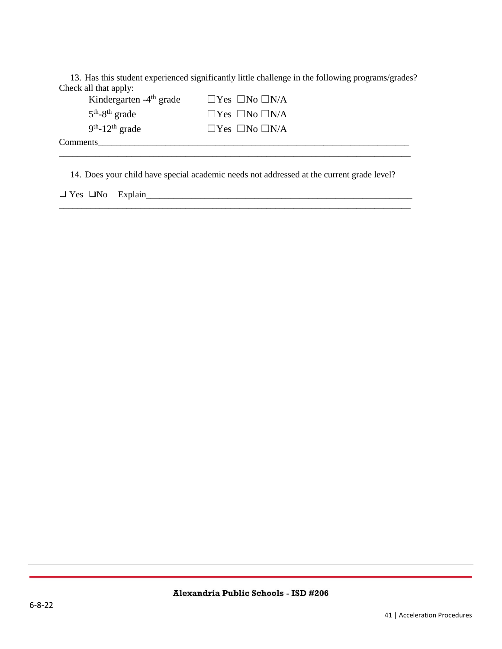13. Has this student experienced significantly little challenge in the following programs/grades? Check all that apply:

| Kindergarten $-4$ <sup>th</sup> grade | $\Box$ Yes $\Box$ No $\Box$ N/A |  |
|---------------------------------------|---------------------------------|--|
| $5th - 8th$ grade                     | $\Box$ Yes $\Box$ No $\Box$ N/A |  |
| $9th$ -12 <sup>th</sup> grade         | $\Box$ Yes $\Box$ No $\Box$ N/A |  |
| Comments                              |                                 |  |
|                                       |                                 |  |

14. Does your child have special academic needs not addressed at the current grade level?

❑ Yes ❑No Explain\_\_\_\_\_\_\_\_\_\_\_\_\_\_\_\_\_\_\_\_\_\_\_\_\_\_\_\_\_\_\_\_\_\_\_\_\_\_\_\_\_\_\_\_\_\_\_\_\_\_\_\_\_\_\_\_\_\_\_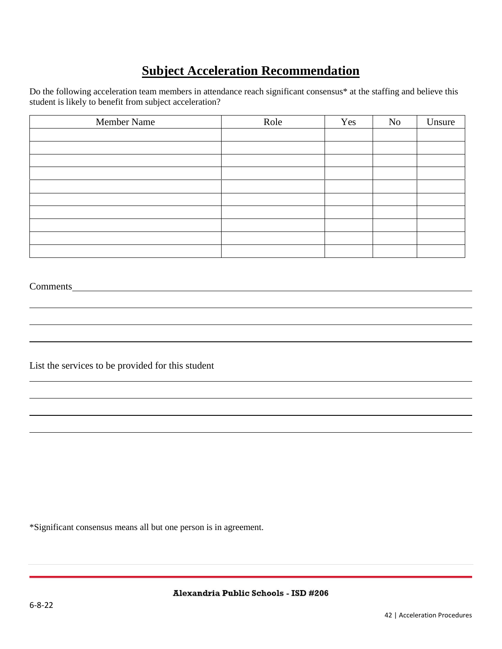### **Subject Acceleration Recommendation**

Do the following acceleration team members in attendance reach significant consensus\* at the staffing and believe this student is likely to benefit from subject acceleration?

| Member Name | Role | Yes | No | Unsure |
|-------------|------|-----|----|--------|
|             |      |     |    |        |
|             |      |     |    |        |
|             |      |     |    |        |
|             |      |     |    |        |
|             |      |     |    |        |
|             |      |     |    |        |
|             |      |     |    |        |
|             |      |     |    |        |
|             |      |     |    |        |
|             |      |     |    |        |

#### Comments

List the services to be provided for this student

\*Significant consensus means all but one person is in agreement.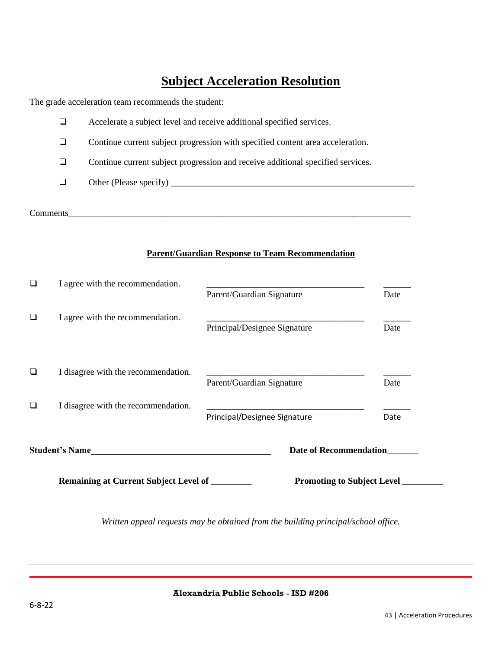### **Subject Acceleration Resolution**

The grade acceleration team recommends the student:

| ⊔        | Accelerate a subject level and receive additional specified services.           |
|----------|---------------------------------------------------------------------------------|
| ⊔        | Continue current subject progression with specified content area acceleration.  |
| ⊔        | Continue current subject progression and receive additional specified services. |
| ⊔        |                                                                                 |
| Comments |                                                                                 |

#### **Parent/Guardian Response to Team Recommendation**

| I agree with the recommendation.            | Parent/Guardian Signature         | Date |
|---------------------------------------------|-----------------------------------|------|
| I agree with the recommendation.            | Principal/Designee Signature      | Date |
| I disagree with the recommendation.         | Parent/Guardian Signature         | Date |
| I disagree with the recommendation.         | Principal/Designee Signature      | Date |
| <b>Student's Name</b>                       | <b>Date of Recommendation</b>     |      |
| Remaining at Current Subject Level of _____ | <b>Promoting to Subject Level</b> |      |

*Written appeal requests may be obtained from the building principal/school office.*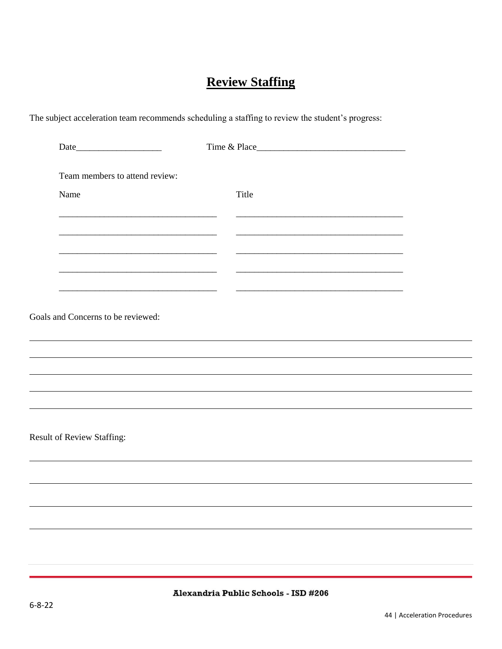### **Review Staffing**

The subject acceleration team recommends scheduling a staffing to review the student's progress:

| Team members to attend review:     |                                                                                                                      |  |
|------------------------------------|----------------------------------------------------------------------------------------------------------------------|--|
| Name                               | Title                                                                                                                |  |
|                                    |                                                                                                                      |  |
|                                    | <u> 1989 - Johann John Stone, market fan it ferskearre fan it ferskearre fan it ferskearre fan it ferskearre fan</u> |  |
|                                    |                                                                                                                      |  |
|                                    |                                                                                                                      |  |
| Goals and Concerns to be reviewed: |                                                                                                                      |  |
|                                    |                                                                                                                      |  |
|                                    |                                                                                                                      |  |
|                                    |                                                                                                                      |  |
|                                    |                                                                                                                      |  |
| Result of Review Staffing:         |                                                                                                                      |  |
|                                    |                                                                                                                      |  |
|                                    |                                                                                                                      |  |
|                                    |                                                                                                                      |  |
|                                    |                                                                                                                      |  |
|                                    |                                                                                                                      |  |

 $\overline{\phantom{a}}$ 

 $\overline{\phantom{0}}$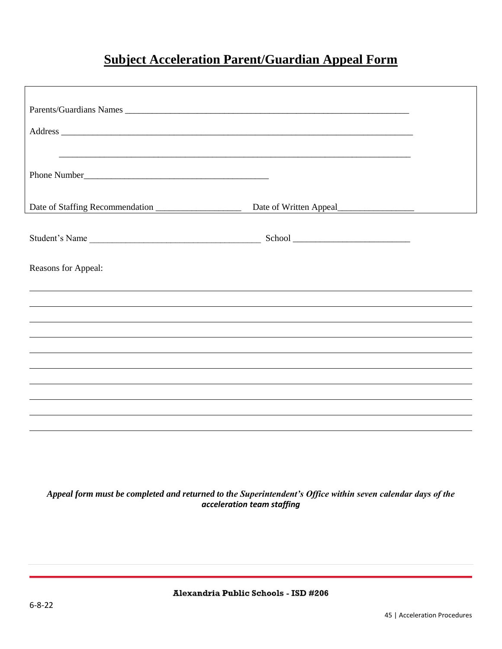### **Subject Acceleration Parent/Guardian Appeal Form**

| Parents/Guardians Names<br>Address <u>the contract of the contract of the contract of the contract of the contract of the contract of the contract of the contract of the contract of the contract of the contract of the contract of the contract of the c</u> |                                                |  |
|-----------------------------------------------------------------------------------------------------------------------------------------------------------------------------------------------------------------------------------------------------------------|------------------------------------------------|--|
|                                                                                                                                                                                                                                                                 |                                                |  |
| Date of Staffing Recommendation                                                                                                                                                                                                                                 | Date of Written Appeal<br><u>Letter Appeal</u> |  |
| Student's Name                                                                                                                                                                                                                                                  |                                                |  |
| Reasons for Appeal:                                                                                                                                                                                                                                             |                                                |  |
|                                                                                                                                                                                                                                                                 |                                                |  |
|                                                                                                                                                                                                                                                                 |                                                |  |
|                                                                                                                                                                                                                                                                 |                                                |  |
|                                                                                                                                                                                                                                                                 |                                                |  |
|                                                                                                                                                                                                                                                                 |                                                |  |
|                                                                                                                                                                                                                                                                 |                                                |  |
|                                                                                                                                                                                                                                                                 |                                                |  |
|                                                                                                                                                                                                                                                                 |                                                |  |
|                                                                                                                                                                                                                                                                 |                                                |  |

#### *Appeal form must be completed and returned to the Superintendent's Office within seven calendar days of the acceleration team staffing*